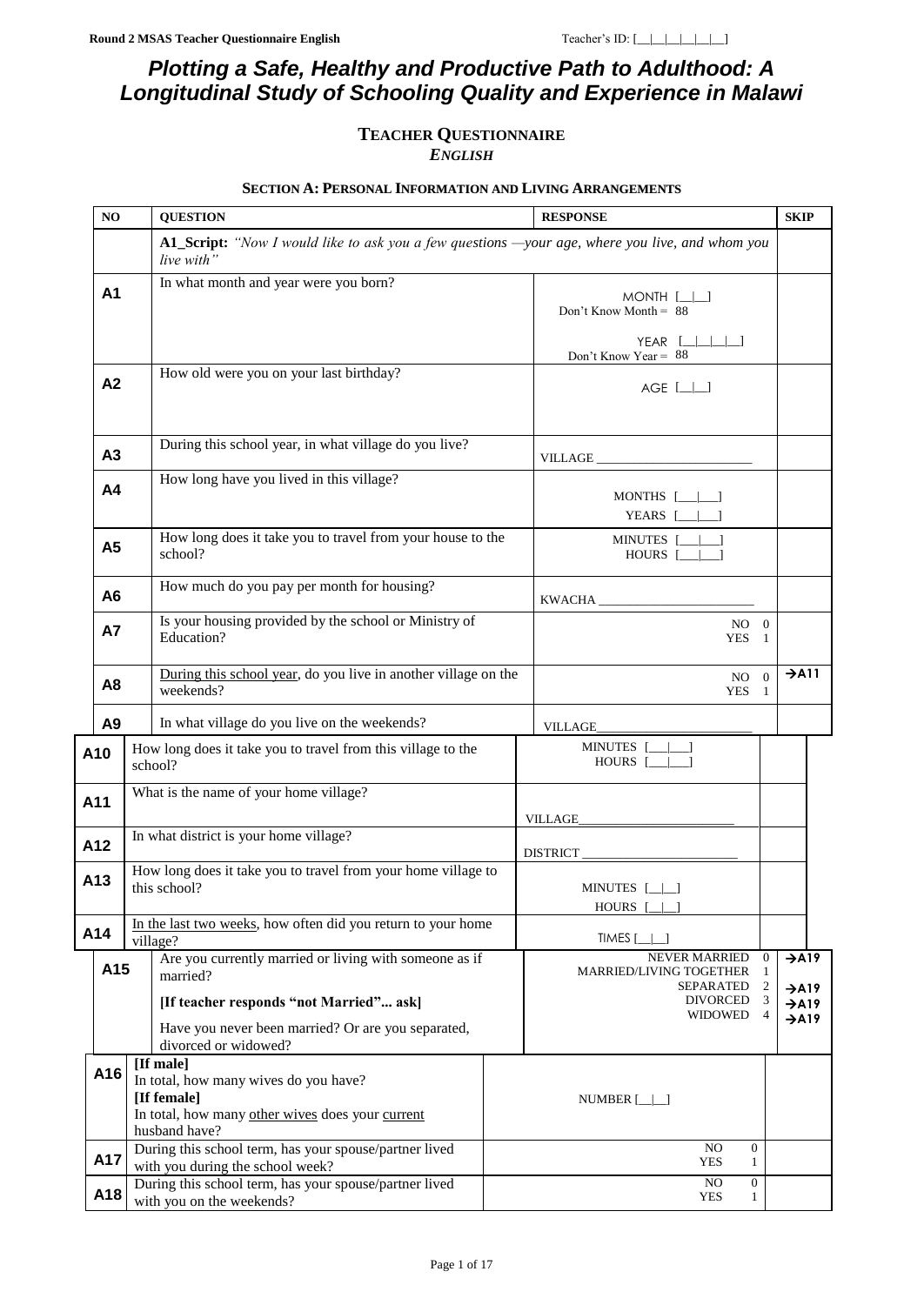# *Plotting a Safe, Healthy and Productive Path to Adulthood: A Longitudinal Study of Schooling Quality and Experience in Malawi*

### **TEACHER QUESTIONNAIRE** *ENGLISH*

### **SECTION A: PERSONAL INFORMATION AND LIVING ARRANGEMENTS**

<span id="page-0-0"></span>

|                                                                                                   | N <sub>O</sub> |                      | <b>QUESTION</b>                                                                                               |                           | <b>RESPONSE</b>                                                                                                             |                                                |                                                                                                 |
|---------------------------------------------------------------------------------------------------|----------------|----------------------|---------------------------------------------------------------------------------------------------------------|---------------------------|-----------------------------------------------------------------------------------------------------------------------------|------------------------------------------------|-------------------------------------------------------------------------------------------------|
|                                                                                                   |                |                      | A1_Script: "Now I would like to ask you a few questions —your age, where you live, and whom you<br>live with" |                           |                                                                                                                             |                                                |                                                                                                 |
|                                                                                                   | A <sub>1</sub> |                      | In what month and year were you born?                                                                         |                           | $MONTH$ $[\_$<br>Don't Know Month = $88$                                                                                    |                                                | <b>SKIP</b><br>$\rightarrow$ A11<br>$\rightarrow$ A19<br>$\rightarrow$ A19<br>$\rightarrow$ A19 |
|                                                                                                   |                |                      |                                                                                                               |                           | $YEAR$ $[\_ \_ \_]\_]$<br>Don't Know Year = $88$                                                                            |                                                |                                                                                                 |
|                                                                                                   | A <sub>2</sub> |                      | How old were you on your last birthday?                                                                       |                           | $AGE$ $[\_]\_$                                                                                                              |                                                |                                                                                                 |
|                                                                                                   | A <sub>3</sub> |                      | During this school year, in what village do you live?                                                         |                           |                                                                                                                             |                                                |                                                                                                 |
| How long have you lived in this village?<br>A <sub>4</sub><br>MONTHS $[\_$<br>YEARS $[\_\_\_\_\]$ |                |                      |                                                                                                               |                           |                                                                                                                             |                                                |                                                                                                 |
|                                                                                                   | A <sub>5</sub> |                      | How long does it take you to travel from your house to the<br>school?                                         |                           | MINUTES [______]<br>HOURS [_____]                                                                                           |                                                |                                                                                                 |
|                                                                                                   | A <sub>6</sub> |                      | How much do you pay per month for housing?                                                                    |                           | KWACHA                                                                                                                      |                                                |                                                                                                 |
|                                                                                                   | <b>A7</b>      |                      | Is your housing provided by the school or Ministry of<br>Education?                                           | $NO$ $\quad$ $0$<br>YES 1 |                                                                                                                             |                                                |                                                                                                 |
|                                                                                                   | A <sub>8</sub> |                      | During this school year, do you live in another village on the<br>weekends?                                   |                           | $NO \t 0$<br>YES 1                                                                                                          |                                                |                                                                                                 |
|                                                                                                   | A <sub>9</sub> |                      | In what village do you live on the weekends?                                                                  |                           | <b>VILLAGE</b>                                                                                                              |                                                |                                                                                                 |
|                                                                                                   | A10            |                      | How long does it take you to travel from this village to the<br>school?                                       |                           | MINUTES [__ __]<br>HOURS [__ __]                                                                                            |                                                |                                                                                                 |
| A11                                                                                               |                |                      | What is the name of your home village?                                                                        |                           | $\verb+VILLAGE__\_\_ \_\_ \_\_ \_\_ \_\_ \_\_ \_\_ \_\_ \_\_ \_\_ \_\_ \_\_ \_\_ \_ \_ \_ \_ \_ \_ \_ \_ \_ \_ \_ \_ \_ \_$ |                                                |                                                                                                 |
|                                                                                                   | A12            |                      | In what district is your home village?                                                                        |                           | DISTRICT                                                                                                                    |                                                |                                                                                                 |
|                                                                                                   | A13            |                      | How long does it take you to travel from your home village to<br>this school?                                 |                           | MINUTES $[\_\]$<br><b>HOURS</b>                                                                                             |                                                |                                                                                                 |
|                                                                                                   | A14            |                      | In the last two weeks, how often did you return to your home<br>village?                                      |                           | TIMES <sub>I</sub>                                                                                                          |                                                |                                                                                                 |
|                                                                                                   | A15            |                      | Are you currently married or living with someone as if<br>married?                                            |                           | NEVER MARRIED<br>MARRIED/LIVING TOGETHER<br>SEPARATED                                                                       | $\mathbf{0}$<br>$\mathbf{1}$<br>$\overline{2}$ |                                                                                                 |
|                                                                                                   |                |                      | [If teacher responds "not Married" ask]<br>Have you never been married? Or are you separated,                 |                           | DIVORCED<br>WIDOWED                                                                                                         | 3<br>$\overline{4}$                            | $\rightarrow$ A19                                                                               |
|                                                                                                   |                | divorced or widowed? |                                                                                                               |                           |                                                                                                                             |                                                |                                                                                                 |
|                                                                                                   | A16            |                      | [If male]<br>In total, how many wives do you have?                                                            |                           |                                                                                                                             |                                                |                                                                                                 |
|                                                                                                   |                |                      | [If female]<br>In total, how many other wives does your current<br>husband have?                              |                           | NUMBER $[\_]\_$                                                                                                             |                                                |                                                                                                 |
|                                                                                                   | A17            |                      | During this school term, has your spouse/partner lived<br>with you during the school week?                    |                           | NO<br>$\mathbf{0}$<br>YES<br>1                                                                                              |                                                |                                                                                                 |
|                                                                                                   | A18            |                      | During this school term, has your spouse/partner lived<br>with you on the weekends?                           |                           | NO<br>$\boldsymbol{0}$<br>YES<br>$\mathbf{1}$                                                                               |                                                |                                                                                                 |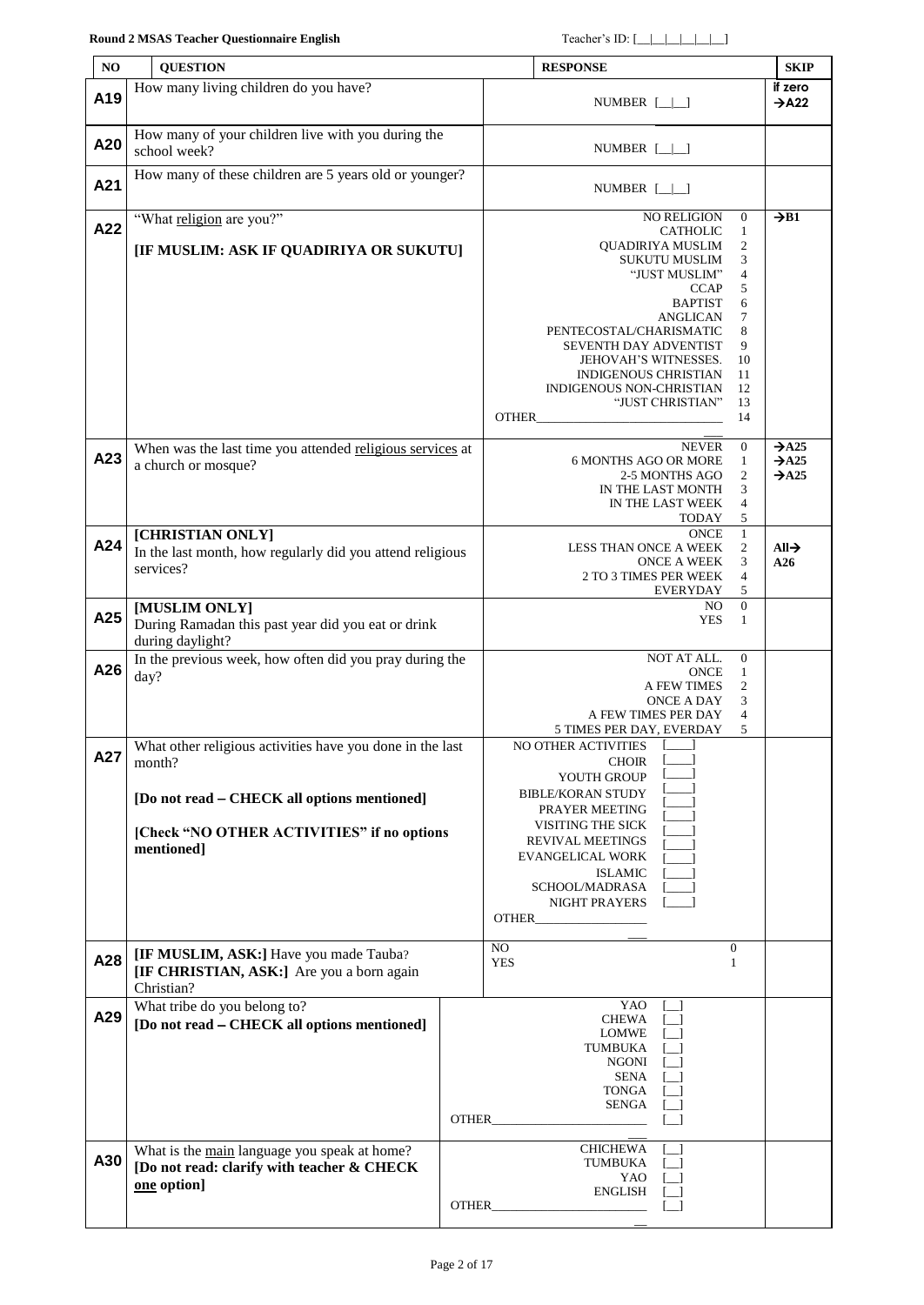### **Round 2 MSAS Teacher Questionnaire English** Teacher's ID: [\_\_|\_\_|\_\_|\_\_|\_\_|\_\_]

<span id="page-1-2"></span><span id="page-1-1"></span><span id="page-1-0"></span>

| NO  | <b>QUESTION</b>                                                                                           |                                                                                                                         | <b>RESPONSE</b>                                                                                                                                                                                                                                                                                                                                                                                                                                                                                                                                                          | <b>SKIP</b>                                                 |
|-----|-----------------------------------------------------------------------------------------------------------|-------------------------------------------------------------------------------------------------------------------------|--------------------------------------------------------------------------------------------------------------------------------------------------------------------------------------------------------------------------------------------------------------------------------------------------------------------------------------------------------------------------------------------------------------------------------------------------------------------------------------------------------------------------------------------------------------------------|-------------------------------------------------------------|
| A19 | How many living children do you have?                                                                     |                                                                                                                         | NUMBER $[\_\]$                                                                                                                                                                                                                                                                                                                                                                                                                                                                                                                                                           | if zero<br>$\rightarrow$ A22                                |
|     |                                                                                                           |                                                                                                                         |                                                                                                                                                                                                                                                                                                                                                                                                                                                                                                                                                                          |                                                             |
| A20 | How many of your children live with you during the<br>school week?                                        |                                                                                                                         | NUMBER $[\_\]$                                                                                                                                                                                                                                                                                                                                                                                                                                                                                                                                                           |                                                             |
| A21 | How many of these children are 5 years old or younger?                                                    |                                                                                                                         | NUMBER $[\_]\_$                                                                                                                                                                                                                                                                                                                                                                                                                                                                                                                                                          |                                                             |
| A22 | "What religion are you?"                                                                                  |                                                                                                                         | <b>NO RELIGION</b><br>$\boldsymbol{0}$<br>$\mathbf{1}$<br><b>CATHOLIC</b>                                                                                                                                                                                                                                                                                                                                                                                                                                                                                                | $\rightarrow$ B1                                            |
|     | [IF MUSLIM: ASK IF QUADIRIYA OR SUKUTU]                                                                   |                                                                                                                         | QUADIRIYA MUSLIM<br>2<br>SUKUTU MUSLIM<br>3<br>"JUST MUSLIM"<br>4<br><b>CCAP</b><br>5<br><b>BAPTIST</b><br>6<br><b>ANGLICAN</b><br>7<br>8<br>PENTECOSTAL/CHARISMATIC<br>9<br>SEVENTH DAY ADVENTIST<br>JEHOVAH'S WITNESSES.<br>10<br>11<br>INDIGENOUS CHRISTIAN<br>INDIGENOUS NON-CHRISTIAN<br>12<br>"JUST CHRISTIAN"<br>13<br>OTHER <b>Express of the Second Second Second Second Second Second Second Second Second Second Second Second Second Second Second Second Second Second Second Second Second Second Second Second Second Second Second Second Seco</b><br>14 |                                                             |
| A23 | When was the last time you attended religious services at<br>a church or mosque?                          |                                                                                                                         | $\boldsymbol{0}$<br><b>NEVER</b><br><b>6 MONTHS AGO OR MORE</b><br>$\mathbf{1}$<br>2<br>2-5 MONTHS AGO<br>3<br>IN THE LAST MONTH<br>4<br>IN THE LAST WEEK<br>5<br>TODAY                                                                                                                                                                                                                                                                                                                                                                                                  | $\rightarrow$ A25<br>$\rightarrow$ A25<br>$\rightarrow$ A25 |
| A24 | [CHRISTIAN ONLY]                                                                                          |                                                                                                                         | $\mathbf{1}$<br><b>ONCE</b>                                                                                                                                                                                                                                                                                                                                                                                                                                                                                                                                              |                                                             |
|     | In the last month, how regularly did you attend religious<br>services?                                    | $\mathfrak{2}$<br>LESS THAN ONCE A WEEK<br>ONCE A WEEK<br>3<br>$\overline{4}$<br>2 TO 3 TIMES PER WEEK<br>5<br>EVERYDAY | $All\rightarrow$<br>A26                                                                                                                                                                                                                                                                                                                                                                                                                                                                                                                                                  |                                                             |
| A25 | [MUSLIM ONLY]<br>During Ramadan this past year did you eat or drink<br>during daylight?                   |                                                                                                                         | $\boldsymbol{0}$<br>NO.<br><b>YES</b><br>$\mathbf{1}$                                                                                                                                                                                                                                                                                                                                                                                                                                                                                                                    |                                                             |
| A26 | In the previous week, how often did you pray during the<br>day?                                           |                                                                                                                         | NOT AT ALL.<br>$\boldsymbol{0}$<br>$\mathbf{1}$<br><b>ONCE</b><br>A FEW TIMES<br>2<br>3<br>ONCE A DAY<br>A FEW TIMES PER DAY<br>4<br>5<br>5 TIMES PER DAY, EVERDAY                                                                                                                                                                                                                                                                                                                                                                                                       |                                                             |
| A27 | What other religious activities have you done in the last<br>month?                                       |                                                                                                                         | NO OTHER ACTIVITIES [___]<br><b>CHOIR</b><br>YOUTH GROUP                                                                                                                                                                                                                                                                                                                                                                                                                                                                                                                 |                                                             |
|     | [Do not read – CHECK all options mentioned]                                                               |                                                                                                                         | <b>BIBLE/KORAN STUDY</b>                                                                                                                                                                                                                                                                                                                                                                                                                                                                                                                                                 |                                                             |
|     | [Check "NO OTHER ACTIVITIES" if no options<br>mentioned]                                                  |                                                                                                                         | PRAYER MEETING<br>VISITING THE SICK<br>REVIVAL MEETINGS<br><b>EVANGELICAL WORK</b><br><b>ISLAMIC</b><br>SCHOOL/MADRASA<br>NIGHT PRAYERS                                                                                                                                                                                                                                                                                                                                                                                                                                  |                                                             |
| A28 | [IF MUSLIM, ASK:] Have you made Tauba?<br>[IF CHRISTIAN, ASK:] Are you a born again<br>Christian?         |                                                                                                                         | NO<br>$\mathbf{0}$<br><b>YES</b><br>1                                                                                                                                                                                                                                                                                                                                                                                                                                                                                                                                    |                                                             |
| A29 | What tribe do you belong to?<br>[Do not read – CHECK all options mentioned]                               |                                                                                                                         | YAO<br>CHEWA<br>LOMWE<br>TUMBUKA<br>NGONI<br>SENA<br>TONGA<br>SENGA [ ]                                                                                                                                                                                                                                                                                                                                                                                                                                                                                                  |                                                             |
| A30 | What is the main language you speak at home?<br>[Do not read: clarify with teacher & CHECK<br>one option] |                                                                                                                         | CHICHEWA<br>TUMBUKA<br>YAO<br>ENGLISH                                                                                                                                                                                                                                                                                                                                                                                                                                                                                                                                    |                                                             |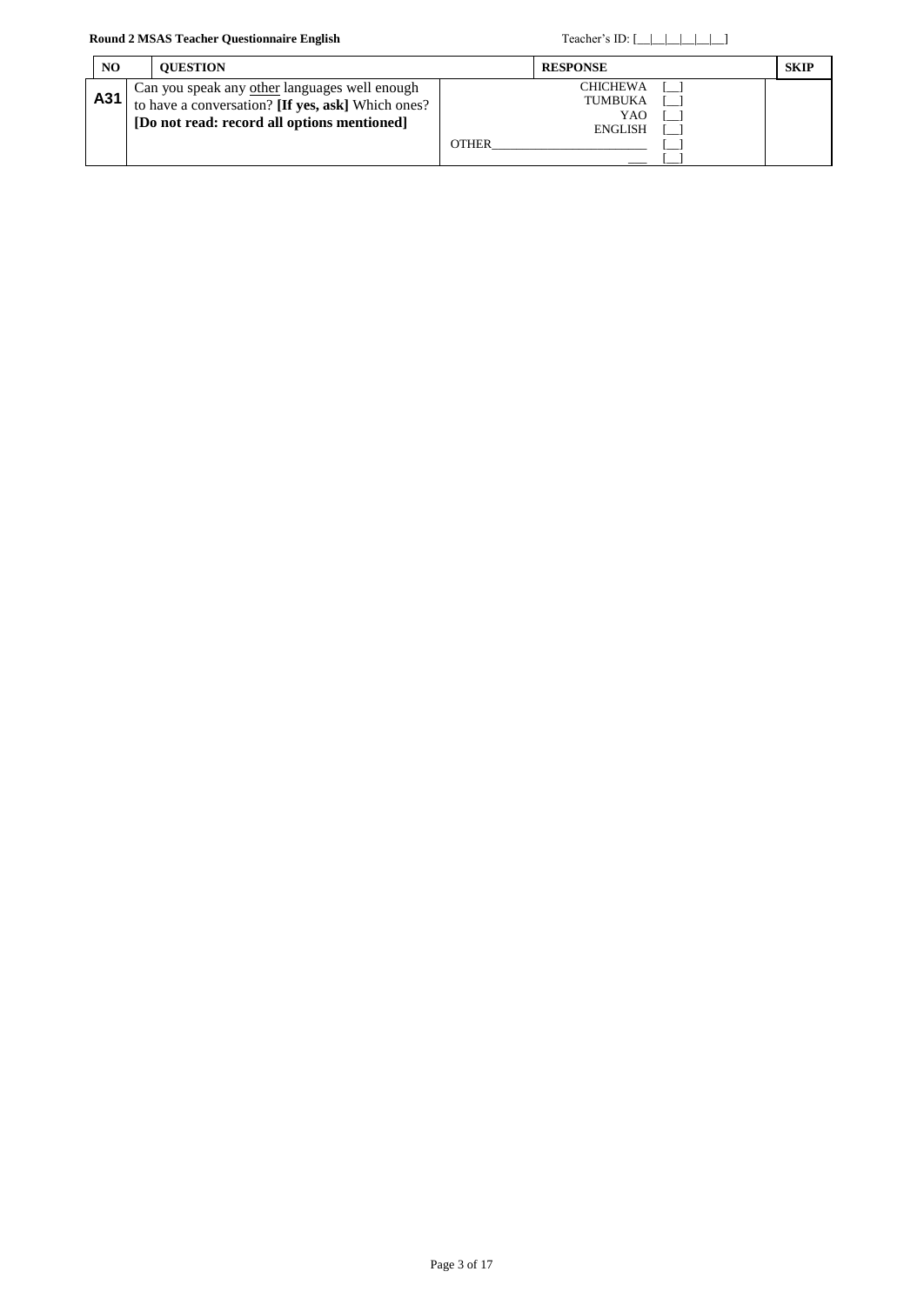| NO. | <b>OUESTION</b>                                                                                                                                   | <b>RESPONSE</b>                                                     | <b>SKIP</b> |
|-----|---------------------------------------------------------------------------------------------------------------------------------------------------|---------------------------------------------------------------------|-------------|
| A31 | Can you speak any other languages well enough<br>to have a conversation? [If yes, ask] Which ones?<br>[Do not read: record all options mentioned] | <b>CHICHEWA</b><br>TUMBUKA<br>YAO<br><b>ENGLISH</b><br><b>OTHER</b> |             |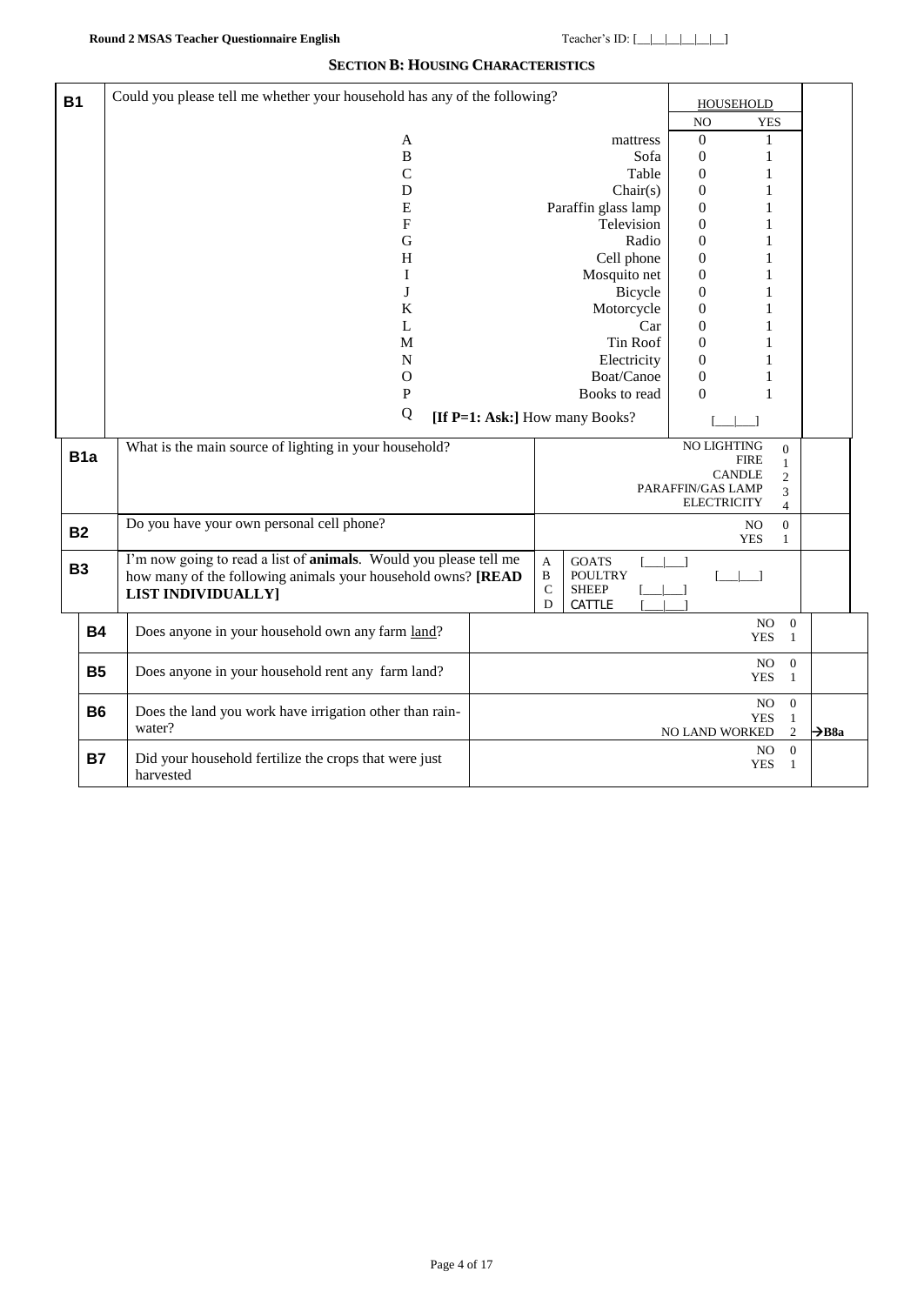### **SECTION B: HOUSING CHARACTERISTICS**

| <b>B1</b> |                  | Could you please tell me whether your household has any of the following? |  |                    |                                |                                   | <b>HOUSEHOLD</b> |                     |                   |
|-----------|------------------|---------------------------------------------------------------------------|--|--------------------|--------------------------------|-----------------------------------|------------------|---------------------|-------------------|
|           |                  |                                                                           |  |                    |                                | NO                                | <b>YES</b>       |                     |                   |
|           |                  | A                                                                         |  |                    | mattress                       | $\mathbf{0}$                      | 1                |                     |                   |
|           |                  | B                                                                         |  |                    | Sofa                           | $\mathbf{0}$                      | $\mathbf{1}$     |                     |                   |
|           |                  | $\mathbf C$                                                               |  |                    | Table                          | $\mathbf{0}$                      | 1                |                     |                   |
|           |                  | D                                                                         |  |                    | Chair(s)                       | $\boldsymbol{0}$                  | 1                |                     |                   |
|           |                  | ${\bf E}$                                                                 |  |                    | Paraffin glass lamp            | $\boldsymbol{0}$                  | 1                |                     |                   |
|           |                  | $\boldsymbol{\mathrm{F}}$                                                 |  |                    | Television                     | $\overline{0}$                    | 1                |                     |                   |
|           |                  | G                                                                         |  |                    | Radio                          | $\mathbf{0}$                      |                  |                     |                   |
|           |                  | H                                                                         |  |                    | Cell phone                     | $\boldsymbol{0}$                  | 1                |                     |                   |
|           |                  | I                                                                         |  |                    | Mosquito net                   | $\boldsymbol{0}$                  | 1                |                     |                   |
|           |                  | J                                                                         |  |                    | Bicycle                        | $\boldsymbol{0}$                  | 1                |                     |                   |
|           |                  | K                                                                         |  |                    | Motorcycle                     | $\boldsymbol{0}$                  | 1                |                     |                   |
|           |                  | L                                                                         |  |                    | Car                            | $\mathbf{0}$                      | 1<br>1           |                     |                   |
|           |                  | M<br>$\mathbf N$                                                          |  |                    | Tin Roof<br>Electricity        | $\mathbf{0}$<br>$\mathbf{0}$      |                  |                     |                   |
|           |                  | $\mathbf O$                                                               |  |                    | Boat/Canoe                     | $\boldsymbol{0}$                  | 1                |                     |                   |
|           |                  | P                                                                         |  |                    | Books to read                  | $\Omega$                          | $\mathbf{1}$     |                     |                   |
|           |                  | Q                                                                         |  |                    |                                |                                   |                  |                     |                   |
|           |                  |                                                                           |  |                    | [If P=1: Ask:] How many Books? |                                   |                  |                     |                   |
|           |                  | NO LIGHTING<br>What is the main source of lighting in your household?     |  |                    |                                |                                   |                  |                     |                   |
|           | B <sub>1</sub> a |                                                                           |  |                    |                                | <b>FIRE</b><br>1<br><b>CANDLE</b> |                  |                     |                   |
|           |                  |                                                                           |  |                    |                                | PARAFFIN/GAS LAMP                 |                  | $\overline{2}$      |                   |
|           |                  |                                                                           |  |                    |                                | <b>ELECTRICITY</b>                |                  | 3<br>$\overline{4}$ |                   |
|           |                  | Do you have your own personal cell phone?                                 |  |                    |                                |                                   | NO               | $\overline{0}$      |                   |
|           | <b>B2</b>        |                                                                           |  |                    |                                |                                   | <b>YES</b>       | $\mathbf{1}$        |                   |
|           | <b>B3</b>        | I'm now going to read a list of <b>animals</b> . Would you please tell me |  | $\mathbf{A}$       | <b>GOATS</b>                   |                                   |                  |                     |                   |
|           |                  | how many of the following animals your household owns? [READ              |  | $\, {\bf B}$       | <b>POULTRY</b>                 |                                   |                  |                     |                   |
|           |                  | <b>LIST INDIVIDUALLY]</b>                                                 |  | $\mathcal{C}$<br>D | <b>SHEEP</b><br>CATTLE         |                                   |                  |                     |                   |
|           |                  |                                                                           |  |                    |                                |                                   | NO               | $\boldsymbol{0}$    |                   |
|           | <b>B4</b>        | Does anyone in your household own any farm land?                          |  |                    |                                |                                   | <b>YES</b>       | 1                   |                   |
|           |                  |                                                                           |  |                    |                                |                                   | NO.              | $\mathbf{0}$        |                   |
|           | <b>B5</b>        | Does anyone in your household rent any farm land?                         |  |                    |                                |                                   | <b>YES</b>       | 1                   |                   |
|           |                  |                                                                           |  |                    |                                |                                   | NO.              | $\mathbf{0}$        |                   |
|           | <b>B6</b>        | Does the land you work have irrigation other than rain-                   |  |                    |                                |                                   | <b>YES</b>       | $\mathbf{1}$        |                   |
|           |                  | water?                                                                    |  |                    |                                | <b>NO LAND WORKED</b>             |                  | $\overline{2}$      | $\rightarrow$ B8a |
|           | <b>B7</b>        | Did your household fertilize the crops that were just                     |  |                    |                                |                                   | NO               | $\mathbf{0}$        |                   |
|           |                  | harvested                                                                 |  |                    |                                |                                   | <b>YES</b>       | $\mathbf{1}$        |                   |
|           |                  |                                                                           |  |                    |                                |                                   |                  |                     |                   |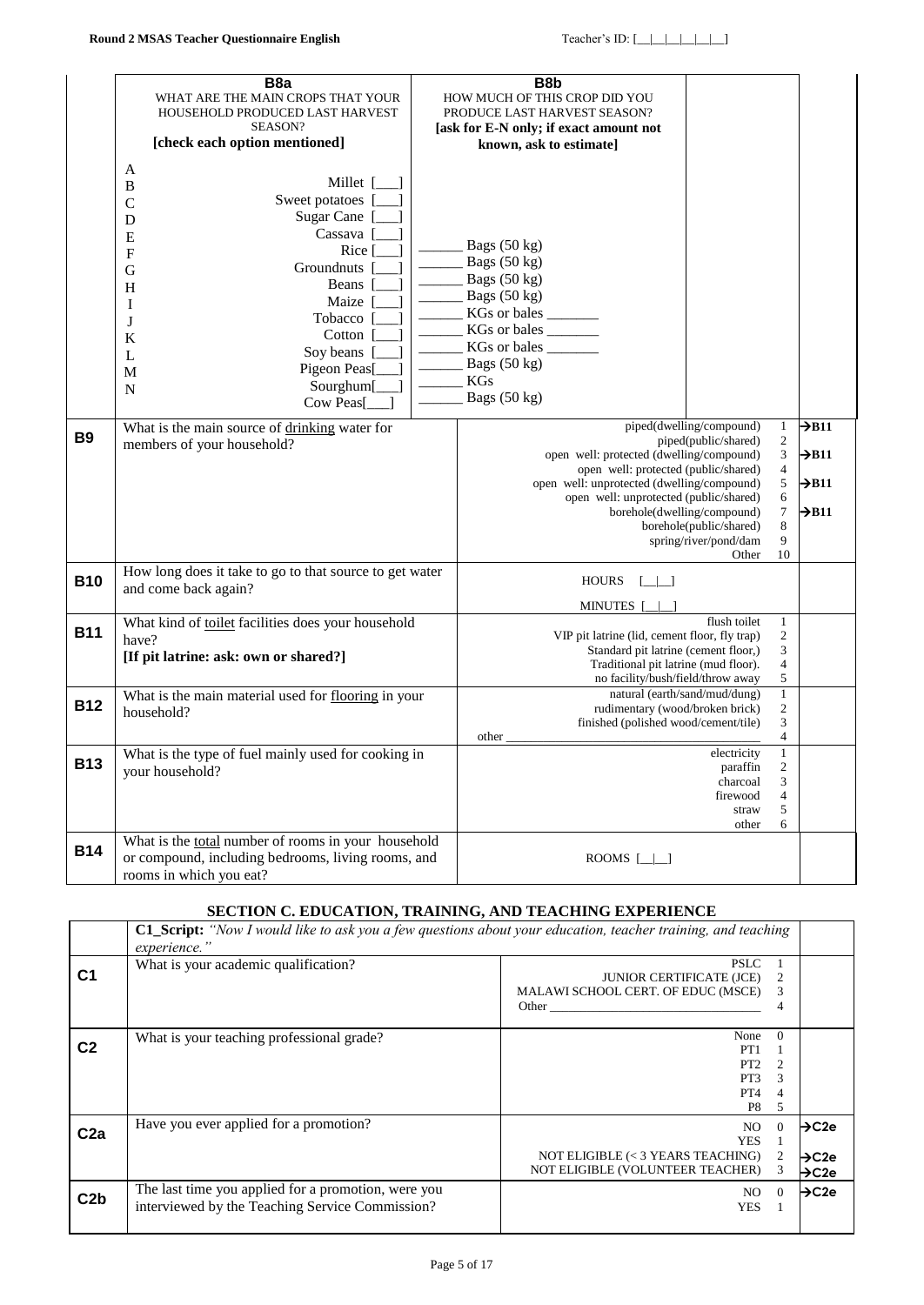| <b>B9</b>  | B <sub>8</sub> a<br>WHAT ARE THE MAIN CROPS THAT YOUR<br>HOUSEHOLD PRODUCED LAST HARVEST<br>SEASON?<br>[check each option mentioned]<br>A<br>Millet [<br>B<br>Sweet potatoes<br>$\mathsf{C}$<br>Sugar Cane<br>D<br>Cassava  <br>E<br>Rice [<br>F<br>Groundnuts<br>G<br>Beans  <br>H<br>Maize<br>Ι<br>Tobacco<br>J<br>Cotton<br>K<br>Soy beans<br>L<br>Pigeon Peas[<br>M<br>Sourghum[<br>N<br>Cow Peas[<br>What is the main source of drinking water for<br>members of your household? | B <sub>8</sub> b<br>HOW MUCH OF THIS CROP DID YOU<br>PRODUCE LAST HARVEST SEASON?<br>[ask for E-N only; if exact amount not<br>known, ask to estimate]<br>Bags $(50 \text{ kg})$<br>Bags (50 kg)<br>Bags (50 kg)<br>Bags (50 kg)<br>KGs or bales<br>KGs or bales<br>KGs or bales<br>Bags (50 kg)<br><b>KGs</b><br>Bags (50 kg)<br>open well: protected (dwelling/compound)<br>open well: protected (public/shared)<br>open well: unprotected (dwelling/compound)<br>open well: unprotected (public/shared)<br>borehole(dwelling/compound) | piped(dwelling/compound)<br>piped(public/shared)<br>borehole(public/shared) | $\mathbf{1}$<br>$\sqrt{2}$<br>3<br>$\overline{4}$<br>5<br>6<br>$\boldsymbol{7}$<br>$\,$ 8 $\,$ | $\rightarrow$ B11<br>$\rightarrow$ B11<br>$\rightarrow$ B11<br>$\rightarrow$ B11 |
|------------|---------------------------------------------------------------------------------------------------------------------------------------------------------------------------------------------------------------------------------------------------------------------------------------------------------------------------------------------------------------------------------------------------------------------------------------------------------------------------------------|-------------------------------------------------------------------------------------------------------------------------------------------------------------------------------------------------------------------------------------------------------------------------------------------------------------------------------------------------------------------------------------------------------------------------------------------------------------------------------------------------------------------------------------------|-----------------------------------------------------------------------------|------------------------------------------------------------------------------------------------|----------------------------------------------------------------------------------|
| <b>B10</b> | How long does it take to go to that source to get water<br>and come back again?                                                                                                                                                                                                                                                                                                                                                                                                       | <b>HOURS</b>                                                                                                                                                                                                                                                                                                                                                                                                                                                                                                                              | spring/river/pond/dam<br>Other                                              | 9<br>10                                                                                        |                                                                                  |
| <b>B11</b> | What kind of toilet facilities does your household<br>have?<br>[If pit latrine: ask: own or shared?]<br>What is the main material used for flooring in your                                                                                                                                                                                                                                                                                                                           | <b>MINUTES</b><br>VIP pit latrine (lid, cement floor, fly trap)<br>Standard pit latrine (cement floor,)<br>Traditional pit latrine (mud floor).<br>no facility/bush/field/throw away<br>natural (earth/sand/mud/dung)                                                                                                                                                                                                                                                                                                                     | flush toilet                                                                | $\mathbf{1}$<br>$\overline{\mathbf{c}}$<br>3<br>4<br>$\sqrt{5}$<br>$\mathbf{1}$                |                                                                                  |
| <b>B12</b> | household?                                                                                                                                                                                                                                                                                                                                                                                                                                                                            | rudimentary (wood/broken brick)<br>finished (polished wood/cement/tile)<br>other                                                                                                                                                                                                                                                                                                                                                                                                                                                          |                                                                             | $\overline{\mathbf{c}}$<br>3<br>4                                                              |                                                                                  |
| <b>B13</b> | What is the type of fuel mainly used for cooking in<br>your household?                                                                                                                                                                                                                                                                                                                                                                                                                |                                                                                                                                                                                                                                                                                                                                                                                                                                                                                                                                           | electricity<br>paraffin<br>charcoal<br>firewood<br>straw<br>other           | $\mathbf{1}$<br>$\sqrt{2}$<br>3<br>4<br>5<br>6                                                 |                                                                                  |
| <b>B14</b> | What is the total number of rooms in your household<br>or compound, including bedrooms, living rooms, and<br>rooms in which you eat?                                                                                                                                                                                                                                                                                                                                                  | ROOMS $[\_\]$                                                                                                                                                                                                                                                                                                                                                                                                                                                                                                                             |                                                                             |                                                                                                |                                                                                  |

### **SECTION C. EDUCATION, TRAINING, AND TEACHING EXPERIENCE**

|                 | <b>C1 Script:</b> "Now I would like to ask you a few questions about your education, teacher training, and teaching<br>experience." |                                                                                                                                                                                                                                |                             |                   |
|-----------------|-------------------------------------------------------------------------------------------------------------------------------------|--------------------------------------------------------------------------------------------------------------------------------------------------------------------------------------------------------------------------------|-----------------------------|-------------------|
| С1              | What is your academic qualification?                                                                                                | <b>PSLC</b><br><b>JUNIOR CERTIFICATE (JCE)</b>                                                                                                                                                                                 | 2                           |                   |
|                 |                                                                                                                                     | MALAWI SCHOOL CERT. OF EDUC (MSCE)                                                                                                                                                                                             | 3                           |                   |
|                 |                                                                                                                                     | Other than the contract of the contract of the contract of the contract of the contract of the contract of the contract of the contract of the contract of the contract of the contract of the contract of the contract of the | 4                           |                   |
|                 | What is your teaching professional grade?                                                                                           | None                                                                                                                                                                                                                           | $\Omega$                    |                   |
| C <sub>2</sub>  |                                                                                                                                     | PT <sub>1</sub>                                                                                                                                                                                                                |                             |                   |
|                 |                                                                                                                                     | PT <sub>2</sub>                                                                                                                                                                                                                | $\mathcal{D}_{\mathcal{L}}$ |                   |
|                 |                                                                                                                                     | PT3                                                                                                                                                                                                                            | 3                           |                   |
|                 |                                                                                                                                     | PT4                                                                                                                                                                                                                            | 4                           |                   |
|                 |                                                                                                                                     | P <sub>8</sub>                                                                                                                                                                                                                 | 5                           |                   |
| C <sub>2a</sub> | Have you ever applied for a promotion?                                                                                              | NO.                                                                                                                                                                                                                            | $\Omega$                    | $\rightarrow$ C2e |
|                 |                                                                                                                                     | <b>YES</b>                                                                                                                                                                                                                     |                             |                   |
|                 |                                                                                                                                     | NOT ELIGIBLE (< 3 YEARS TEACHING)                                                                                                                                                                                              | 2                           | $\rightarrow$ C2e |
|                 |                                                                                                                                     | NOT ELIGIBLE (VOLUNTEER TEACHER)                                                                                                                                                                                               | 3                           | $\rightarrow$ C2e |
| C <sub>2b</sub> | The last time you applied for a promotion, were you                                                                                 | NO.                                                                                                                                                                                                                            | $\Omega$                    | $\rightarrow$ C2e |
|                 | interviewed by the Teaching Service Commission?                                                                                     | YES                                                                                                                                                                                                                            |                             |                   |
|                 |                                                                                                                                     |                                                                                                                                                                                                                                |                             |                   |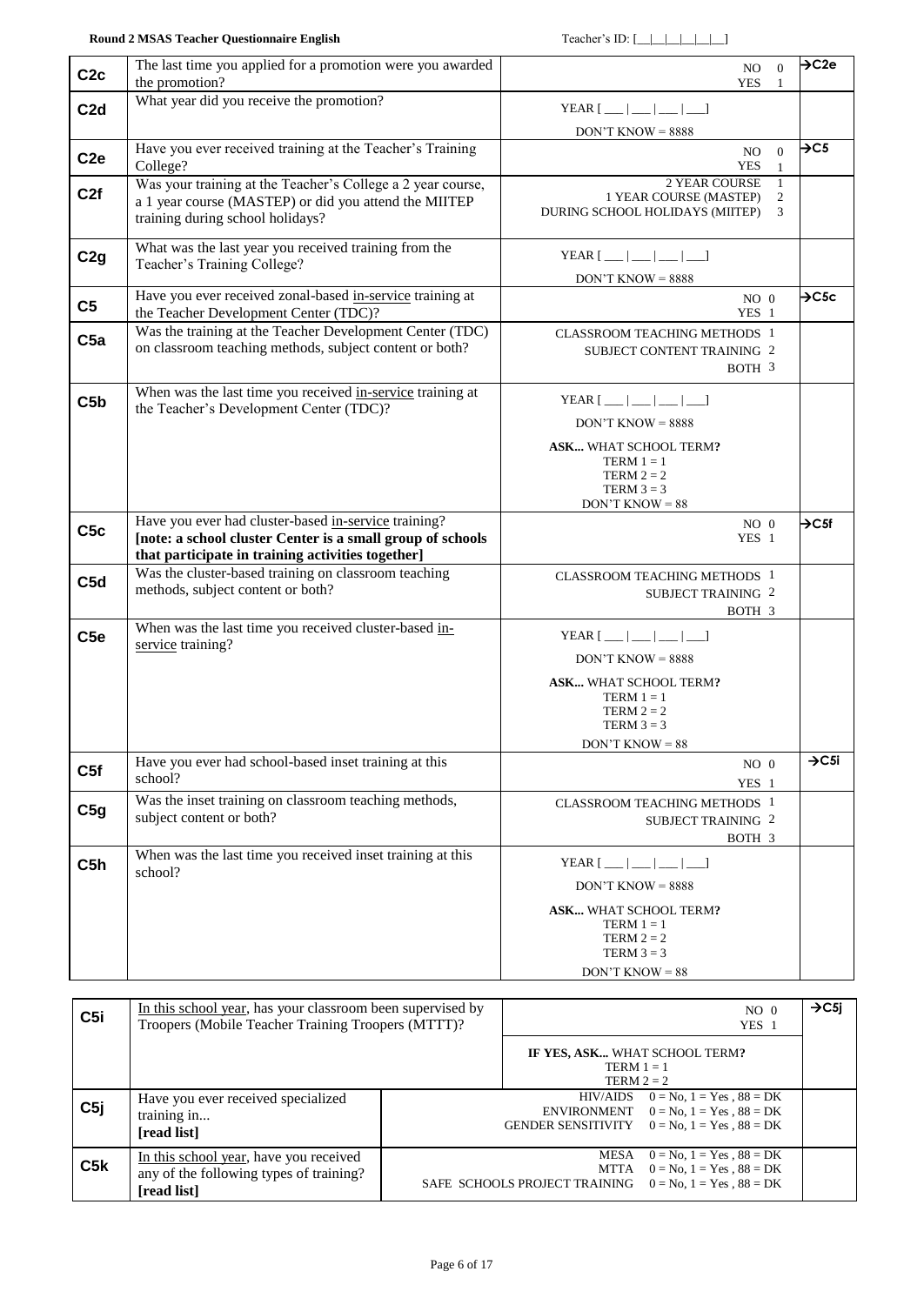| C2c              | The last time you applied for a promotion were you awarded<br>the promotion?                                                                                            | $\Omega$<br>NO.<br><b>YES</b><br>$\overline{1}$                                                                                                                                                                                                                                                                                                                                                                                                                                                                                                                                                                               | $\rightarrow$ C2e |
|------------------|-------------------------------------------------------------------------------------------------------------------------------------------------------------------------|-------------------------------------------------------------------------------------------------------------------------------------------------------------------------------------------------------------------------------------------------------------------------------------------------------------------------------------------------------------------------------------------------------------------------------------------------------------------------------------------------------------------------------------------------------------------------------------------------------------------------------|-------------------|
| C <sub>2</sub> d | What year did you receive the promotion?                                                                                                                                | YEAR $\lceil$ $\lfloor$ $\lfloor$ $\lfloor$ $\lfloor$ $\lfloor$ $\lfloor$ $\lfloor$ $\lfloor$ $\rfloor$<br>$DON'T$ KNOW = 8888                                                                                                                                                                                                                                                                                                                                                                                                                                                                                                |                   |
| C <sub>2e</sub>  | Have you ever received training at the Teacher's Training<br>College?                                                                                                   | $\Omega$<br>NO<br><b>YES</b><br>$\mathbf{1}$                                                                                                                                                                                                                                                                                                                                                                                                                                                                                                                                                                                  | $\rightarrow$ C5  |
| C2f              | Was your training at the Teacher's College a 2 year course,<br>a 1 year course (MASTEP) or did you attend the MIITEP<br>training during school holidays?                | 2 YEAR COURSE<br>-1<br>1 YEAR COURSE (MASTEP)<br>2<br>DURING SCHOOL HOLIDAYS (MIITEP)<br>3                                                                                                                                                                                                                                                                                                                                                                                                                                                                                                                                    |                   |
| C2g              | What was the last year you received training from the<br>Teacher's Training College?                                                                                    | YEAR $[$ __ $ $ __ $ $ __ $ $ __ $ $<br>$DON'T$ KNOW = 8888                                                                                                                                                                                                                                                                                                                                                                                                                                                                                                                                                                   |                   |
| C <sub>5</sub>   | Have you ever received zonal-based in-service training at<br>the Teacher Development Center (TDC)?                                                                      | $NO$ $0$<br>YES 1                                                                                                                                                                                                                                                                                                                                                                                                                                                                                                                                                                                                             | $\rightarrow$ C5c |
| C5a              | Was the training at the Teacher Development Center (TDC)<br>on classroom teaching methods, subject content or both?                                                     | <b>CLASSROOM TEACHING METHODS 1</b><br>SUBJECT CONTENT TRAINING 2<br>BOTH 3                                                                                                                                                                                                                                                                                                                                                                                                                                                                                                                                                   |                   |
| C5b              | When was the last time you received in-service training at<br>the Teacher's Development Center (TDC)?                                                                   | YEAR $[\underline{\hspace{1cm}} \underline{\hspace{1cm}} \underline{\hspace{1cm}} \underline{\hspace{1cm}} \underline{\hspace{1cm}} \underline{\hspace{1cm}} \underline{\hspace{1cm}} \underline{\hspace{1cm}} \underline{\hspace{1cm}} \underline{\hspace{1cm}} \underline{\hspace{1cm}} \underline{\hspace{1cm}} \underline{\hspace{1cm}} \underline{\hspace{1cm}} \underline{\hspace{1cm}} \underline{\hspace{1cm}} \underline{\hspace{1cm}} \underline{\hspace{1cm}} \underline{\hspace{1cm}} \underline{\hspace{1cm}} \underline{\hspace{1cm}} \underline{\hspace{1cm}} \underline{\hspace{1cm}} \underline{\hspace{1cm$ |                   |
|                  |                                                                                                                                                                         | $DON'T$ KNOW = 8888                                                                                                                                                                                                                                                                                                                                                                                                                                                                                                                                                                                                           |                   |
|                  |                                                                                                                                                                         | ASK WHAT SCHOOL TERM?<br>TERM $1 = 1$<br>TERM $2 = 2$<br>TERM $3 = 3$<br>$DON'T$ KNOW = 88                                                                                                                                                                                                                                                                                                                                                                                                                                                                                                                                    |                   |
| C5c              | Have you ever had cluster-based in-service training?<br>[note: a school cluster Center is a small group of schools<br>that participate in training activities together] | $NO$ $\,$ $0$<br>YES 1                                                                                                                                                                                                                                                                                                                                                                                                                                                                                                                                                                                                        | $\rightarrow$ C5f |
| C <sub>5d</sub>  | Was the cluster-based training on classroom teaching<br>methods, subject content or both?                                                                               | <b>CLASSROOM TEACHING METHODS 1</b><br><b>SUBJECT TRAINING 2</b><br>BOTH 3                                                                                                                                                                                                                                                                                                                                                                                                                                                                                                                                                    |                   |
| C <sub>5e</sub>  | When was the last time you received cluster-based in-<br>service training?                                                                                              | YEAR $[\underline{\hspace{1cm}} \underline{\hspace{1cm}} \underline{\hspace{1cm}} \underline{\hspace{1cm}} \underline{\hspace{1cm}} \underline{\hspace{1cm}} \underline{\hspace{1cm}} \underline{\hspace{1cm}} \underline{\hspace{1cm}} \underline{\hspace{1cm}} \underline{\hspace{1cm}} \underline{\hspace{1cm}} \underline{\hspace{1cm}} \underline{\hspace{1cm}} \underline{\hspace{1cm}}$<br>$DON'T$ KNOW = 8888                                                                                                                                                                                                         |                   |
|                  |                                                                                                                                                                         | <b>ASK</b> WHAT SCHOOL TERM?<br>TERM $1 = 1$<br>TERM $2 = 2$<br>TERM $3 = 3$<br>$DON'T$ KNOW = 88                                                                                                                                                                                                                                                                                                                                                                                                                                                                                                                             |                   |
| C5f              | Have you ever had school-based inset training at this<br>school?                                                                                                        | $NO$ 0<br>YES 1                                                                                                                                                                                                                                                                                                                                                                                                                                                                                                                                                                                                               | $\rightarrow$ C5i |
| C5g              | Was the inset training on classroom teaching methods,<br>subject content or both?                                                                                       | <b>CLASSROOM TEACHING METHODS 1</b><br>SUBJECT TRAINING 2<br>BOTH 3                                                                                                                                                                                                                                                                                                                                                                                                                                                                                                                                                           |                   |
| C5h              | When was the last time you received inset training at this                                                                                                              | YEAR $[\underline{\hspace{1cm}} \underline{\hspace{1cm}} \underline{\hspace{1cm}} \underline{\hspace{1cm}} \underline{\hspace{1cm}} \underline{\hspace{1cm}} \underline{\hspace{1cm}} ]$                                                                                                                                                                                                                                                                                                                                                                                                                                      |                   |
|                  | school?                                                                                                                                                                 | $DON'T$ KNOW = 8888                                                                                                                                                                                                                                                                                                                                                                                                                                                                                                                                                                                                           |                   |
|                  |                                                                                                                                                                         | <b>ASK</b> WHAT SCHOOL TERM?<br>$TERM 1 = 1$<br>TERM $2 = 2$<br>TERM $3 = 3$<br>$DON'T$ KNOW = 88                                                                                                                                                                                                                                                                                                                                                                                                                                                                                                                             |                   |

| C5i | In this school year, has your classroom been supervised by<br>Troopers (Mobile Teacher Training Troopers (MTTT)? | NO <sub>0</sub><br>YES 1                                                                                                                   | $\rightarrow$ C5i |
|-----|------------------------------------------------------------------------------------------------------------------|--------------------------------------------------------------------------------------------------------------------------------------------|-------------------|
|     |                                                                                                                  | IF YES, ASK WHAT SCHOOL TERM?<br>TERM $1 = 1$<br>TERM $2 = 2$                                                                              |                   |
| C5i | Have you ever received specialized<br>training in<br>[read list]                                                 | $0 = No, 1 = Yes, 88 = DK$<br>HIV/AIDS<br>ENVIRONMENT<br>$0 = No, 1 = Yes, 88 = DK$<br>GENDER SENSITIVITY $0 = No$ , $1 = Yes$ , $88 = DK$ |                   |
| C5k | In this school year, have you received<br>any of the following types of training?<br>[read list]                 | $0 = No, 1 = Yes, 88 = DK$<br>MESA<br>$0 = No, 1 = Yes, 88 = DK$<br>MTTA<br>$0 = No, 1 = Yes, 88 = DK$<br>SAFE SCHOOLS PROJECT TRAINING    |                   |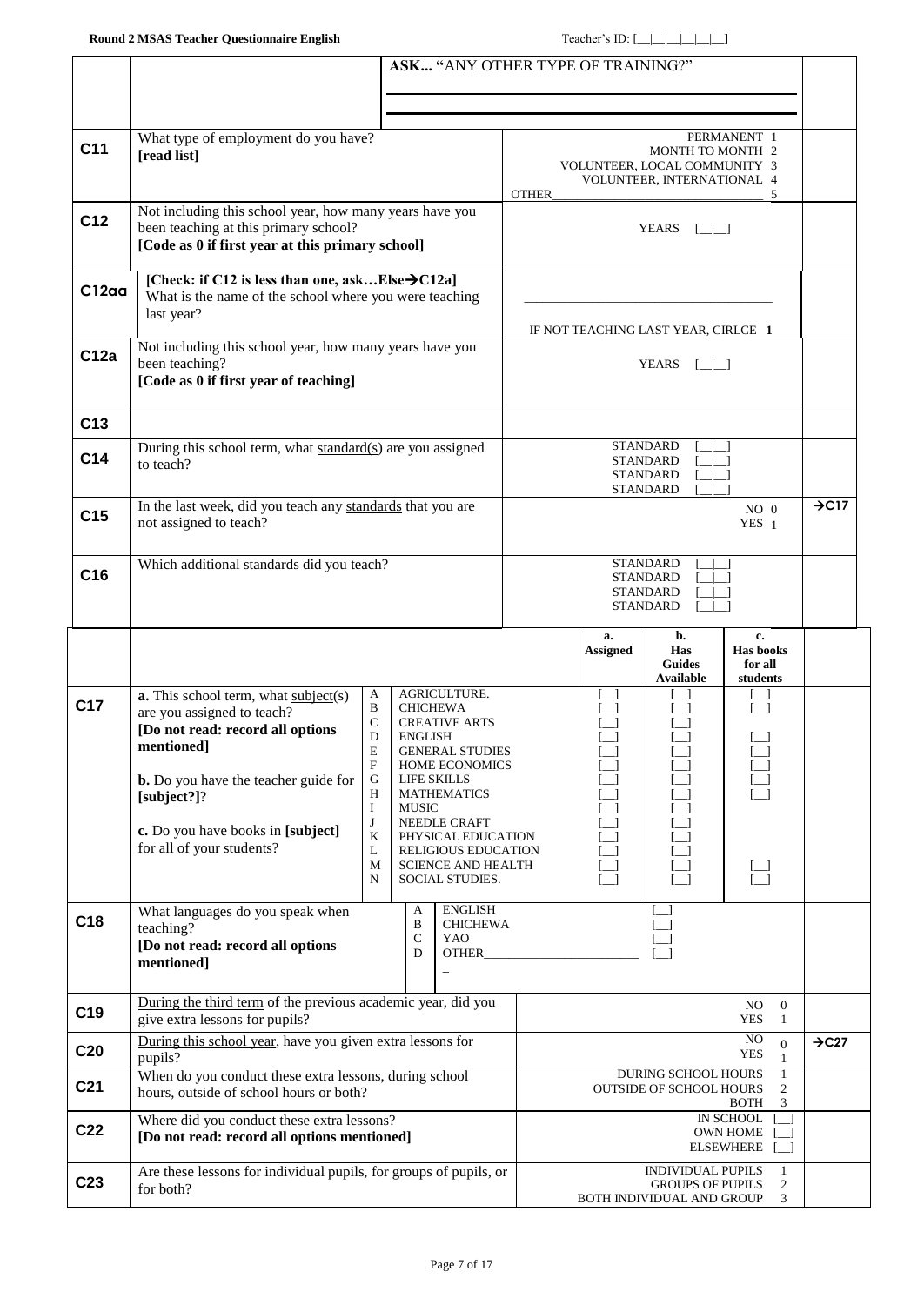|                 |                                                                                                                                                                          |                                                                              |  |                          |                                                                                                                                                 |                                                                          | ASK "ANY OTHER TYPE OF TRAINING?"   |                                                                                  |                                                         |                   |
|-----------------|--------------------------------------------------------------------------------------------------------------------------------------------------------------------------|------------------------------------------------------------------------------|--|--------------------------|-------------------------------------------------------------------------------------------------------------------------------------------------|--------------------------------------------------------------------------|-------------------------------------|----------------------------------------------------------------------------------|---------------------------------------------------------|-------------------|
|                 |                                                                                                                                                                          |                                                                              |  |                          |                                                                                                                                                 |                                                                          |                                     |                                                                                  |                                                         |                   |
| C <sub>11</sub> | What type of employment do you have?<br>[read list]                                                                                                                      |                                                                              |  |                          |                                                                                                                                                 | <b>OTHER</b>                                                             | VOLUNTEER, LOCAL COMMUNITY 3        | MONTH TO MONTH 2<br>VOLUNTEER, INTERNATIONAL 4                                   | PERMANENT 1<br>5                                        |                   |
| C12             | Not including this school year, how many years have you<br>been teaching at this primary school?<br>[Code as 0 if first year at this primary school]                     |                                                                              |  |                          |                                                                                                                                                 |                                                                          |                                     | YEARS $\lceil \cdot \rceil$                                                      |                                                         |                   |
| C12aa           | [Check: if C12 is less than one, askElse $\rightarrow$ C12a]<br>What is the name of the school where you were teaching<br>last year?                                     |                                                                              |  |                          |                                                                                                                                                 |                                                                          | IF NOT TEACHING LAST YEAR, CIRLCE 1 |                                                                                  |                                                         |                   |
| C12a            | Not including this school year, how many years have you<br>been teaching?<br>[Code as 0 if first year of teaching]                                                       |                                                                              |  |                          |                                                                                                                                                 | YEARS $[\_]\_$                                                           |                                     |                                                                                  |                                                         |                   |
| C <sub>13</sub> |                                                                                                                                                                          |                                                                              |  |                          |                                                                                                                                                 |                                                                          |                                     |                                                                                  |                                                         |                   |
| C <sub>14</sub> | During this school term, what standard(s) are you assigned<br>to teach?                                                                                                  |                                                                              |  |                          |                                                                                                                                                 |                                                                          |                                     | <b>STANDARD</b><br><b>STANDARD</b><br><b>STANDARD</b><br><b>STANDARD</b>         |                                                         |                   |
| C <sub>15</sub> | In the last week, did you teach any standards that you are<br>not assigned to teach?                                                                                     |                                                                              |  |                          |                                                                                                                                                 | $NO$ $0$<br>YES <sub>1</sub>                                             |                                     |                                                                                  | $\rightarrow$ C17                                       |                   |
| C <sub>16</sub> | Which additional standards did you teach?                                                                                                                                |                                                                              |  |                          |                                                                                                                                                 | <b>STANDARD</b><br><b>STANDARD</b><br><b>STANDARD</b><br><b>STANDARD</b> |                                     |                                                                                  |                                                         |                   |
|                 |                                                                                                                                                                          |                                                                              |  |                          |                                                                                                                                                 |                                                                          | a.<br><b>Assigned</b>               | b.<br>Has<br><b>Guides</b><br><b>Available</b>                                   | c.<br>Has books<br>for all<br>students                  |                   |
| C17             | $a$ . This school term, what $subject(s)$<br>are you assigned to teach?<br>[Do not read: record all options<br>mentioned]<br><b>b.</b> Do you have the teacher guide for | A<br>B<br>$\mathbf C$<br>$\mathbf D$<br>E<br>$\mathbf F$<br>$\mathsf G$<br>Η |  | <b>ENGLISH</b>           | AGRICULTURE.<br><b>CHICHEWA</b><br><b>CREATIVE ARTS</b><br><b>GENERAL STUDIES</b><br><b>HOME ECONOMICS</b><br>LIFE SKILLS<br><b>MATHEMATICS</b> |                                                                          |                                     |                                                                                  |                                                         |                   |
|                 | [subject?]?<br>c. Do you have books in [subject]<br>for all of your students?                                                                                            | Ι<br>J<br>K<br>L<br>M<br>N                                                   |  | <b>MUSIC</b>             | NEEDLE CRAFT<br>PHYSICAL EDUCATION<br><b>RELIGIOUS EDUCATION</b><br><b>SCIENCE AND HEALTH</b><br>SOCIAL STUDIES.                                |                                                                          |                                     |                                                                                  | $\frac{[1]}{[1]}$                                       |                   |
| C18             | What languages do you speak when<br>teaching?<br>[Do not read: record all options<br>mentioned]                                                                          |                                                                              |  | A<br>B<br>${\bf C}$<br>D | <b>ENGLISH</b><br><b>CHICHEWA</b><br>YAO<br><b>OTHER</b>                                                                                        |                                                                          |                                     |                                                                                  |                                                         |                   |
| C <sub>19</sub> | During the third term of the previous academic year, did you<br>give extra lessons for pupils?                                                                           |                                                                              |  |                          |                                                                                                                                                 |                                                                          |                                     |                                                                                  | NO.<br>$\mathbf{0}$<br><b>YES</b><br>$\mathbf{1}$       |                   |
| C <sub>20</sub> | During this school year, have you given extra lessons for<br>pupils?                                                                                                     |                                                                              |  |                          |                                                                                                                                                 |                                                                          |                                     |                                                                                  | NO<br>$\boldsymbol{0}$<br>YES<br>1                      | $\rightarrow$ C27 |
| C <sub>21</sub> | When do you conduct these extra lessons, during school<br>hours, outside of school hours or both?                                                                        |                                                                              |  |                          |                                                                                                                                                 |                                                                          |                                     | DURING SCHOOL HOURS<br><b>OUTSIDE OF SCHOOL HOURS</b>                            | $\mathbf{1}$<br>2<br><b>BOTH</b><br>3                   |                   |
| C <sub>22</sub> | Where did you conduct these extra lessons?<br>[Do not read: record all options mentioned]                                                                                |                                                                              |  |                          |                                                                                                                                                 |                                                                          |                                     |                                                                                  | IN SCHOOL<br><b>OWN HOME</b><br><b>ELSEWHERE</b><br>- 1 |                   |
| C <sub>23</sub> | Are these lessons for individual pupils, for groups of pupils, or<br>for both?                                                                                           |                                                                              |  |                          |                                                                                                                                                 |                                                                          |                                     | <b>INDIVIDUAL PUPILS</b><br><b>GROUPS OF PUPILS</b><br>BOTH INDIVIDUAL AND GROUP | $\overline{2}$<br>3                                     |                   |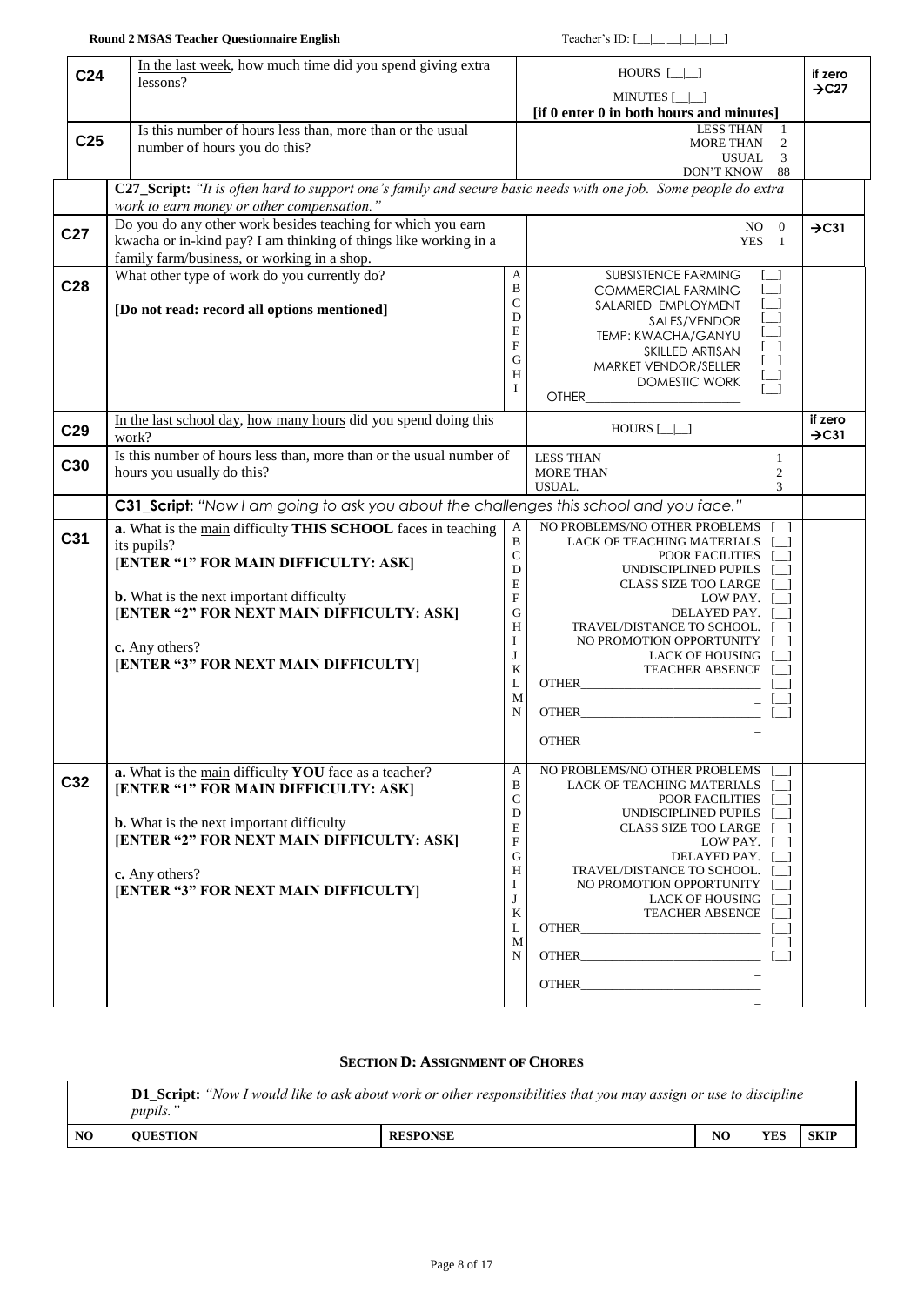| C <sub>25</sub><br><b>MORE THAN</b><br>2<br>number of hours you do this?<br>3<br>USUAL.<br>DON'T KNOW<br>88<br>C27_Script: "It is often hard to support one's family and secure basic needs with one job. Some people do extra<br>work to earn money or other compensation.'<br>Do you do any other work besides teaching for which you earn<br>$NO$ 0<br>$\rightarrow$ C31<br>C <sub>27</sub><br>kwacha or in-kind pay? I am thinking of things like working in a<br><b>YES</b><br>-1<br>family farm/business, or working in a shop.<br>What other type of work do you currently do?<br>A<br><b>SUBSISTENCE FARMING</b><br>C28<br>B<br><b>COMMERCIAL FARMING</b><br>C<br>$\Box$<br>SALARIED EMPLOYMENT<br>[Do not read: record all options mentioned]<br>D<br>SALES/VENDOR<br>E<br>TEMP: KWACHA/GANYU<br>F<br>SKILLED ARTISAN<br>G<br>MARKET VENDOR/SELLER<br>Н<br><b>DOMESTIC WORK</b><br>I<br><b>OTHER</b><br>In the last school day, how many hours did you spend doing this<br>if zero<br>$HOURS$ $\Box$<br>C <sub>29</sub><br>$\rightarrow$ C31<br>work?<br>Is this number of hours less than, more than or the usual number of<br><b>LESS THAN</b><br>1<br>C30<br>hours you usually do this?<br><b>MORE THAN</b><br>$\overline{c}$<br>USUAL.<br>3<br><b>C31_Script:</b> "Now I am going to ask you about the challenges this school and you face."<br>NO PROBLEMS/NO OTHER PROBLEMS<br>a. What is the main difficulty THIS SCHOOL faces in teaching<br>A<br>C <sub>31</sub><br>B<br>LACK OF TEACHING MATERIALS<br>its pupils?<br>${\bf C}$<br>POOR FACILITIES<br>[ENTER "1" FOR MAIN DIFFICULTY: ASK]<br>D<br>UNDISCIPLINED PUPILS<br>E<br><b>CLASS SIZE TOO LARGE</b><br><b>b.</b> What is the next important difficulty<br>F<br>LOW PAY.<br>[ENTER "2" FOR NEXT MAIN DIFFICULTY: ASK]<br>G<br>DELAYED PAY.<br>H<br>TRAVEL/DISTANCE TO SCHOOL.<br>Ι<br>NO PROMOTION OPPORTUNITY<br>c. Any others?<br>J<br><b>LACK OF HOUSING</b><br>[ENTER "3" FOR NEXT MAIN DIFFICULTY]<br>K<br><b>TEACHER ABSENCE</b><br>L<br><b>OTHER</b><br>M<br>N<br><b>OTHER</b><br><b>OTHER</b><br>a. What is the main difficulty YOU face as a teacher?<br>A<br>NO PROBLEMS/NO OTHER PROBLEMS<br>C32<br>B<br>LACK OF TEACHING MATERIALS<br>[ENTER "1" FOR MAIN DIFFICULTY: ASK]<br>C<br>POOR FACILITIES<br>D<br>UNDISCIPLINED PUPILS<br><b>b.</b> What is the next important difficulty<br>E<br><b>CLASS SIZE TOO LARGE</b><br>[ENTER "2" FOR NEXT MAIN DIFFICULTY: ASK]<br>F<br>LOW PAY. [<br>$\mathbf G$<br>DELAYED PAY. [<br>H<br>TRAVEL/DISTANCE TO SCHOOL.<br>c. Any others?<br>I<br>NO PROMOTION OPPORTUNITY<br>[ENTER "3" FOR NEXT MAIN DIFFICULTY]<br>J<br>LACK OF HOUSING<br>K<br><b>TEACHER ABSENCE</b><br>L<br>M<br>N | C <sub>24</sub> | In the last week, how much time did you spend giving extra<br>lessons?<br>Is this number of hours less than, more than or the usual | HOURS $[\_]\_$<br>MINUTES [_ _]<br>[if 0 enter 0 in both hours and minutes]<br><b>LESS THAN</b><br>1 | if zero<br>$\rightarrow$ C27 |
|------------------------------------------------------------------------------------------------------------------------------------------------------------------------------------------------------------------------------------------------------------------------------------------------------------------------------------------------------------------------------------------------------------------------------------------------------------------------------------------------------------------------------------------------------------------------------------------------------------------------------------------------------------------------------------------------------------------------------------------------------------------------------------------------------------------------------------------------------------------------------------------------------------------------------------------------------------------------------------------------------------------------------------------------------------------------------------------------------------------------------------------------------------------------------------------------------------------------------------------------------------------------------------------------------------------------------------------------------------------------------------------------------------------------------------------------------------------------------------------------------------------------------------------------------------------------------------------------------------------------------------------------------------------------------------------------------------------------------------------------------------------------------------------------------------------------------------------------------------------------------------------------------------------------------------------------------------------------------------------------------------------------------------------------------------------------------------------------------------------------------------------------------------------------------------------------------------------------------------------------------------------------------------------------------------------------------------------------------------------------------------------------------------------------------------------------------------------------------------------------------------------------------------------------------------------------------------------------------------------------------------------------------------------------------------------------------------------|-----------------|-------------------------------------------------------------------------------------------------------------------------------------|------------------------------------------------------------------------------------------------------|------------------------------|
|                                                                                                                                                                                                                                                                                                                                                                                                                                                                                                                                                                                                                                                                                                                                                                                                                                                                                                                                                                                                                                                                                                                                                                                                                                                                                                                                                                                                                                                                                                                                                                                                                                                                                                                                                                                                                                                                                                                                                                                                                                                                                                                                                                                                                                                                                                                                                                                                                                                                                                                                                                                                                                                                                                                  |                 |                                                                                                                                     |                                                                                                      |                              |
|                                                                                                                                                                                                                                                                                                                                                                                                                                                                                                                                                                                                                                                                                                                                                                                                                                                                                                                                                                                                                                                                                                                                                                                                                                                                                                                                                                                                                                                                                                                                                                                                                                                                                                                                                                                                                                                                                                                                                                                                                                                                                                                                                                                                                                                                                                                                                                                                                                                                                                                                                                                                                                                                                                                  |                 |                                                                                                                                     |                                                                                                      |                              |
|                                                                                                                                                                                                                                                                                                                                                                                                                                                                                                                                                                                                                                                                                                                                                                                                                                                                                                                                                                                                                                                                                                                                                                                                                                                                                                                                                                                                                                                                                                                                                                                                                                                                                                                                                                                                                                                                                                                                                                                                                                                                                                                                                                                                                                                                                                                                                                                                                                                                                                                                                                                                                                                                                                                  |                 |                                                                                                                                     |                                                                                                      |                              |
|                                                                                                                                                                                                                                                                                                                                                                                                                                                                                                                                                                                                                                                                                                                                                                                                                                                                                                                                                                                                                                                                                                                                                                                                                                                                                                                                                                                                                                                                                                                                                                                                                                                                                                                                                                                                                                                                                                                                                                                                                                                                                                                                                                                                                                                                                                                                                                                                                                                                                                                                                                                                                                                                                                                  |                 |                                                                                                                                     |                                                                                                      |                              |
|                                                                                                                                                                                                                                                                                                                                                                                                                                                                                                                                                                                                                                                                                                                                                                                                                                                                                                                                                                                                                                                                                                                                                                                                                                                                                                                                                                                                                                                                                                                                                                                                                                                                                                                                                                                                                                                                                                                                                                                                                                                                                                                                                                                                                                                                                                                                                                                                                                                                                                                                                                                                                                                                                                                  |                 |                                                                                                                                     |                                                                                                      |                              |
|                                                                                                                                                                                                                                                                                                                                                                                                                                                                                                                                                                                                                                                                                                                                                                                                                                                                                                                                                                                                                                                                                                                                                                                                                                                                                                                                                                                                                                                                                                                                                                                                                                                                                                                                                                                                                                                                                                                                                                                                                                                                                                                                                                                                                                                                                                                                                                                                                                                                                                                                                                                                                                                                                                                  |                 |                                                                                                                                     |                                                                                                      |                              |
|                                                                                                                                                                                                                                                                                                                                                                                                                                                                                                                                                                                                                                                                                                                                                                                                                                                                                                                                                                                                                                                                                                                                                                                                                                                                                                                                                                                                                                                                                                                                                                                                                                                                                                                                                                                                                                                                                                                                                                                                                                                                                                                                                                                                                                                                                                                                                                                                                                                                                                                                                                                                                                                                                                                  |                 |                                                                                                                                     |                                                                                                      |                              |
|                                                                                                                                                                                                                                                                                                                                                                                                                                                                                                                                                                                                                                                                                                                                                                                                                                                                                                                                                                                                                                                                                                                                                                                                                                                                                                                                                                                                                                                                                                                                                                                                                                                                                                                                                                                                                                                                                                                                                                                                                                                                                                                                                                                                                                                                                                                                                                                                                                                                                                                                                                                                                                                                                                                  |                 |                                                                                                                                     |                                                                                                      |                              |
|                                                                                                                                                                                                                                                                                                                                                                                                                                                                                                                                                                                                                                                                                                                                                                                                                                                                                                                                                                                                                                                                                                                                                                                                                                                                                                                                                                                                                                                                                                                                                                                                                                                                                                                                                                                                                                                                                                                                                                                                                                                                                                                                                                                                                                                                                                                                                                                                                                                                                                                                                                                                                                                                                                                  |                 |                                                                                                                                     |                                                                                                      |                              |
|                                                                                                                                                                                                                                                                                                                                                                                                                                                                                                                                                                                                                                                                                                                                                                                                                                                                                                                                                                                                                                                                                                                                                                                                                                                                                                                                                                                                                                                                                                                                                                                                                                                                                                                                                                                                                                                                                                                                                                                                                                                                                                                                                                                                                                                                                                                                                                                                                                                                                                                                                                                                                                                                                                                  |                 |                                                                                                                                     |                                                                                                      |                              |
|                                                                                                                                                                                                                                                                                                                                                                                                                                                                                                                                                                                                                                                                                                                                                                                                                                                                                                                                                                                                                                                                                                                                                                                                                                                                                                                                                                                                                                                                                                                                                                                                                                                                                                                                                                                                                                                                                                                                                                                                                                                                                                                                                                                                                                                                                                                                                                                                                                                                                                                                                                                                                                                                                                                  |                 |                                                                                                                                     |                                                                                                      |                              |
|                                                                                                                                                                                                                                                                                                                                                                                                                                                                                                                                                                                                                                                                                                                                                                                                                                                                                                                                                                                                                                                                                                                                                                                                                                                                                                                                                                                                                                                                                                                                                                                                                                                                                                                                                                                                                                                                                                                                                                                                                                                                                                                                                                                                                                                                                                                                                                                                                                                                                                                                                                                                                                                                                                                  |                 |                                                                                                                                     |                                                                                                      |                              |
|                                                                                                                                                                                                                                                                                                                                                                                                                                                                                                                                                                                                                                                                                                                                                                                                                                                                                                                                                                                                                                                                                                                                                                                                                                                                                                                                                                                                                                                                                                                                                                                                                                                                                                                                                                                                                                                                                                                                                                                                                                                                                                                                                                                                                                                                                                                                                                                                                                                                                                                                                                                                                                                                                                                  |                 |                                                                                                                                     |                                                                                                      |                              |
|                                                                                                                                                                                                                                                                                                                                                                                                                                                                                                                                                                                                                                                                                                                                                                                                                                                                                                                                                                                                                                                                                                                                                                                                                                                                                                                                                                                                                                                                                                                                                                                                                                                                                                                                                                                                                                                                                                                                                                                                                                                                                                                                                                                                                                                                                                                                                                                                                                                                                                                                                                                                                                                                                                                  |                 |                                                                                                                                     |                                                                                                      |                              |
|                                                                                                                                                                                                                                                                                                                                                                                                                                                                                                                                                                                                                                                                                                                                                                                                                                                                                                                                                                                                                                                                                                                                                                                                                                                                                                                                                                                                                                                                                                                                                                                                                                                                                                                                                                                                                                                                                                                                                                                                                                                                                                                                                                                                                                                                                                                                                                                                                                                                                                                                                                                                                                                                                                                  |                 |                                                                                                                                     |                                                                                                      |                              |
|                                                                                                                                                                                                                                                                                                                                                                                                                                                                                                                                                                                                                                                                                                                                                                                                                                                                                                                                                                                                                                                                                                                                                                                                                                                                                                                                                                                                                                                                                                                                                                                                                                                                                                                                                                                                                                                                                                                                                                                                                                                                                                                                                                                                                                                                                                                                                                                                                                                                                                                                                                                                                                                                                                                  |                 |                                                                                                                                     |                                                                                                      |                              |
|                                                                                                                                                                                                                                                                                                                                                                                                                                                                                                                                                                                                                                                                                                                                                                                                                                                                                                                                                                                                                                                                                                                                                                                                                                                                                                                                                                                                                                                                                                                                                                                                                                                                                                                                                                                                                                                                                                                                                                                                                                                                                                                                                                                                                                                                                                                                                                                                                                                                                                                                                                                                                                                                                                                  |                 |                                                                                                                                     |                                                                                                      |                              |
|                                                                                                                                                                                                                                                                                                                                                                                                                                                                                                                                                                                                                                                                                                                                                                                                                                                                                                                                                                                                                                                                                                                                                                                                                                                                                                                                                                                                                                                                                                                                                                                                                                                                                                                                                                                                                                                                                                                                                                                                                                                                                                                                                                                                                                                                                                                                                                                                                                                                                                                                                                                                                                                                                                                  |                 |                                                                                                                                     |                                                                                                      |                              |
|                                                                                                                                                                                                                                                                                                                                                                                                                                                                                                                                                                                                                                                                                                                                                                                                                                                                                                                                                                                                                                                                                                                                                                                                                                                                                                                                                                                                                                                                                                                                                                                                                                                                                                                                                                                                                                                                                                                                                                                                                                                                                                                                                                                                                                                                                                                                                                                                                                                                                                                                                                                                                                                                                                                  |                 |                                                                                                                                     |                                                                                                      |                              |
|                                                                                                                                                                                                                                                                                                                                                                                                                                                                                                                                                                                                                                                                                                                                                                                                                                                                                                                                                                                                                                                                                                                                                                                                                                                                                                                                                                                                                                                                                                                                                                                                                                                                                                                                                                                                                                                                                                                                                                                                                                                                                                                                                                                                                                                                                                                                                                                                                                                                                                                                                                                                                                                                                                                  |                 |                                                                                                                                     |                                                                                                      |                              |
|                                                                                                                                                                                                                                                                                                                                                                                                                                                                                                                                                                                                                                                                                                                                                                                                                                                                                                                                                                                                                                                                                                                                                                                                                                                                                                                                                                                                                                                                                                                                                                                                                                                                                                                                                                                                                                                                                                                                                                                                                                                                                                                                                                                                                                                                                                                                                                                                                                                                                                                                                                                                                                                                                                                  |                 |                                                                                                                                     |                                                                                                      |                              |
|                                                                                                                                                                                                                                                                                                                                                                                                                                                                                                                                                                                                                                                                                                                                                                                                                                                                                                                                                                                                                                                                                                                                                                                                                                                                                                                                                                                                                                                                                                                                                                                                                                                                                                                                                                                                                                                                                                                                                                                                                                                                                                                                                                                                                                                                                                                                                                                                                                                                                                                                                                                                                                                                                                                  |                 |                                                                                                                                     |                                                                                                      |                              |
|                                                                                                                                                                                                                                                                                                                                                                                                                                                                                                                                                                                                                                                                                                                                                                                                                                                                                                                                                                                                                                                                                                                                                                                                                                                                                                                                                                                                                                                                                                                                                                                                                                                                                                                                                                                                                                                                                                                                                                                                                                                                                                                                                                                                                                                                                                                                                                                                                                                                                                                                                                                                                                                                                                                  |                 |                                                                                                                                     |                                                                                                      |                              |
|                                                                                                                                                                                                                                                                                                                                                                                                                                                                                                                                                                                                                                                                                                                                                                                                                                                                                                                                                                                                                                                                                                                                                                                                                                                                                                                                                                                                                                                                                                                                                                                                                                                                                                                                                                                                                                                                                                                                                                                                                                                                                                                                                                                                                                                                                                                                                                                                                                                                                                                                                                                                                                                                                                                  |                 |                                                                                                                                     |                                                                                                      |                              |
|                                                                                                                                                                                                                                                                                                                                                                                                                                                                                                                                                                                                                                                                                                                                                                                                                                                                                                                                                                                                                                                                                                                                                                                                                                                                                                                                                                                                                                                                                                                                                                                                                                                                                                                                                                                                                                                                                                                                                                                                                                                                                                                                                                                                                                                                                                                                                                                                                                                                                                                                                                                                                                                                                                                  |                 |                                                                                                                                     |                                                                                                      |                              |
|                                                                                                                                                                                                                                                                                                                                                                                                                                                                                                                                                                                                                                                                                                                                                                                                                                                                                                                                                                                                                                                                                                                                                                                                                                                                                                                                                                                                                                                                                                                                                                                                                                                                                                                                                                                                                                                                                                                                                                                                                                                                                                                                                                                                                                                                                                                                                                                                                                                                                                                                                                                                                                                                                                                  |                 |                                                                                                                                     |                                                                                                      |                              |
|                                                                                                                                                                                                                                                                                                                                                                                                                                                                                                                                                                                                                                                                                                                                                                                                                                                                                                                                                                                                                                                                                                                                                                                                                                                                                                                                                                                                                                                                                                                                                                                                                                                                                                                                                                                                                                                                                                                                                                                                                                                                                                                                                                                                                                                                                                                                                                                                                                                                                                                                                                                                                                                                                                                  |                 |                                                                                                                                     |                                                                                                      |                              |
|                                                                                                                                                                                                                                                                                                                                                                                                                                                                                                                                                                                                                                                                                                                                                                                                                                                                                                                                                                                                                                                                                                                                                                                                                                                                                                                                                                                                                                                                                                                                                                                                                                                                                                                                                                                                                                                                                                                                                                                                                                                                                                                                                                                                                                                                                                                                                                                                                                                                                                                                                                                                                                                                                                                  |                 |                                                                                                                                     |                                                                                                      |                              |
|                                                                                                                                                                                                                                                                                                                                                                                                                                                                                                                                                                                                                                                                                                                                                                                                                                                                                                                                                                                                                                                                                                                                                                                                                                                                                                                                                                                                                                                                                                                                                                                                                                                                                                                                                                                                                                                                                                                                                                                                                                                                                                                                                                                                                                                                                                                                                                                                                                                                                                                                                                                                                                                                                                                  |                 |                                                                                                                                     |                                                                                                      |                              |
|                                                                                                                                                                                                                                                                                                                                                                                                                                                                                                                                                                                                                                                                                                                                                                                                                                                                                                                                                                                                                                                                                                                                                                                                                                                                                                                                                                                                                                                                                                                                                                                                                                                                                                                                                                                                                                                                                                                                                                                                                                                                                                                                                                                                                                                                                                                                                                                                                                                                                                                                                                                                                                                                                                                  |                 |                                                                                                                                     |                                                                                                      |                              |
|                                                                                                                                                                                                                                                                                                                                                                                                                                                                                                                                                                                                                                                                                                                                                                                                                                                                                                                                                                                                                                                                                                                                                                                                                                                                                                                                                                                                                                                                                                                                                                                                                                                                                                                                                                                                                                                                                                                                                                                                                                                                                                                                                                                                                                                                                                                                                                                                                                                                                                                                                                                                                                                                                                                  |                 |                                                                                                                                     |                                                                                                      |                              |
|                                                                                                                                                                                                                                                                                                                                                                                                                                                                                                                                                                                                                                                                                                                                                                                                                                                                                                                                                                                                                                                                                                                                                                                                                                                                                                                                                                                                                                                                                                                                                                                                                                                                                                                                                                                                                                                                                                                                                                                                                                                                                                                                                                                                                                                                                                                                                                                                                                                                                                                                                                                                                                                                                                                  |                 |                                                                                                                                     |                                                                                                      |                              |
|                                                                                                                                                                                                                                                                                                                                                                                                                                                                                                                                                                                                                                                                                                                                                                                                                                                                                                                                                                                                                                                                                                                                                                                                                                                                                                                                                                                                                                                                                                                                                                                                                                                                                                                                                                                                                                                                                                                                                                                                                                                                                                                                                                                                                                                                                                                                                                                                                                                                                                                                                                                                                                                                                                                  |                 |                                                                                                                                     |                                                                                                      |                              |
|                                                                                                                                                                                                                                                                                                                                                                                                                                                                                                                                                                                                                                                                                                                                                                                                                                                                                                                                                                                                                                                                                                                                                                                                                                                                                                                                                                                                                                                                                                                                                                                                                                                                                                                                                                                                                                                                                                                                                                                                                                                                                                                                                                                                                                                                                                                                                                                                                                                                                                                                                                                                                                                                                                                  |                 |                                                                                                                                     |                                                                                                      |                              |

### **SECTION D: ASSIGNMENT OF C[HORES](../../../../../../../../../../bmiller/Local%20Settings/Temporary%20Internet%20Files/OLK7/SQS_TeachQuest_Comments.doc#chores)**

|    | <i>pupils.</i> " | <b>D1 Script:</b> "Now I would like to ask about work or other responsibilities that you may assign or use to discipline |    |     |             |
|----|------------------|--------------------------------------------------------------------------------------------------------------------------|----|-----|-------------|
| NO | <b>OUESTION</b>  | <b>RESPONSE</b>                                                                                                          | NO | YES | <b>SKIP</b> |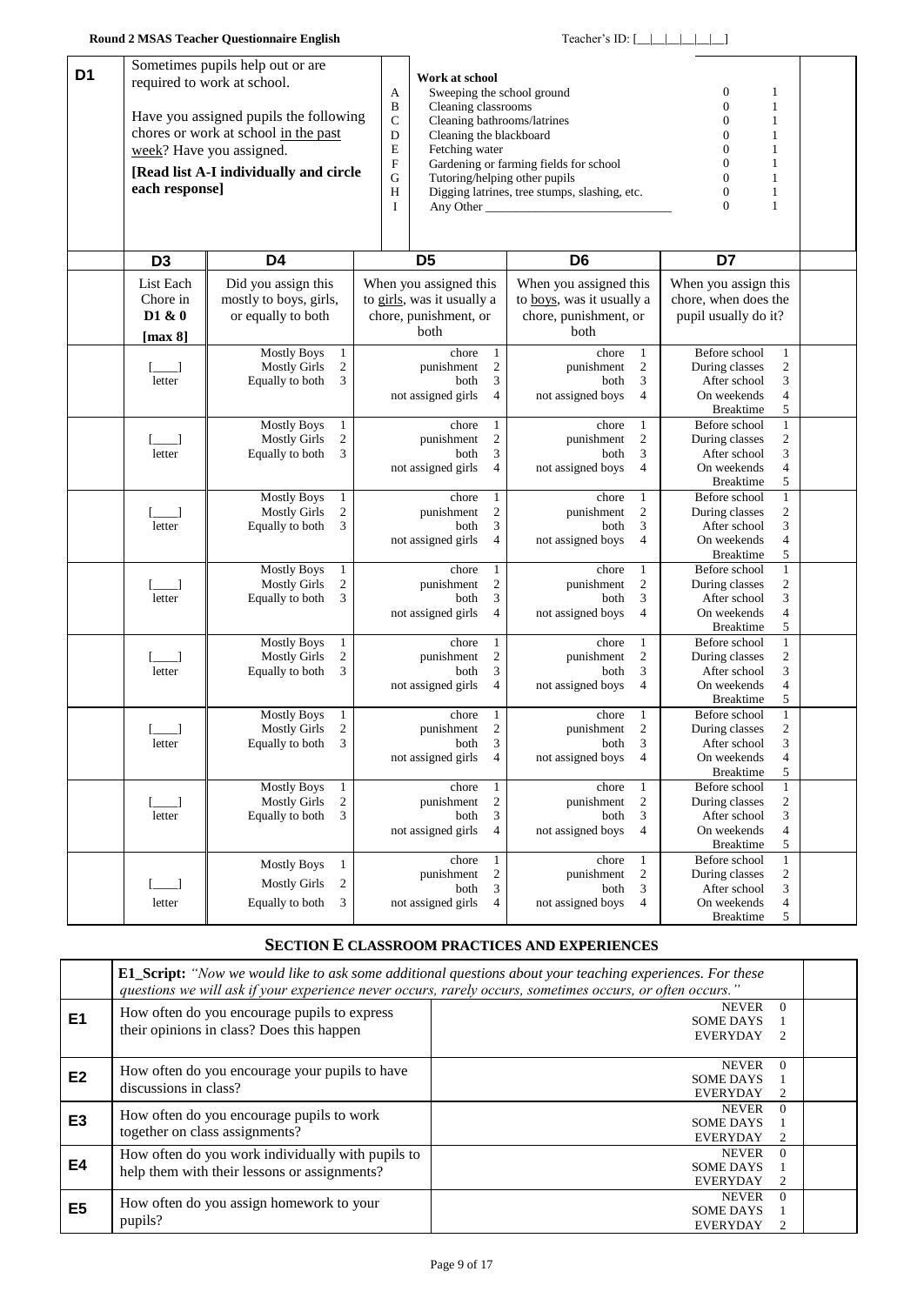<span id="page-8-0"></span>

| D <sub>1</sub> |                    | Sometimes pupils help out or are                                            |                           |                                                        |                                  |                                                       |                                 |                             |  |
|----------------|--------------------|-----------------------------------------------------------------------------|---------------------------|--------------------------------------------------------|----------------------------------|-------------------------------------------------------|---------------------------------|-----------------------------|--|
|                |                    | required to work at school.                                                 |                           | Work at school                                         |                                  |                                                       |                                 |                             |  |
|                |                    |                                                                             | A                         | Sweeping the school ground                             |                                  |                                                       | 0<br>$\overline{0}$             | 1                           |  |
|                |                    | Have you assigned pupils the following                                      | $\bf{B}$<br>$\mathcal{C}$ | Cleaning classrooms                                    |                                  |                                                       | $\overline{0}$                  | $\mathbf{1}$                |  |
|                |                    | chores or work at school in the past                                        | D                         | Cleaning bathrooms/latrines<br>Cleaning the blackboard |                                  |                                                       | $\overline{0}$                  | 1<br>1                      |  |
|                |                    | week? Have you assigned.                                                    | $\mathbf E$               | Fetching water                                         |                                  |                                                       | $\overline{0}$                  | 1                           |  |
|                |                    |                                                                             | $\boldsymbol{\mathrm{F}}$ |                                                        |                                  | Gardening or farming fields for school                | $\overline{0}$                  | 1                           |  |
|                |                    | [Read list A-I individually and circle                                      | G                         |                                                        |                                  | Tutoring/helping other pupils                         | $\boldsymbol{0}$                | 1                           |  |
|                | each response]     |                                                                             | H                         |                                                        |                                  | Digging latrines, tree stumps, slashing, etc.         | $\mathbf{0}$                    | $\mathbf{1}$                |  |
|                |                    |                                                                             | Ι                         |                                                        |                                  | Any Other                                             | $\boldsymbol{0}$                | 1                           |  |
|                |                    |                                                                             |                           |                                                        |                                  |                                                       |                                 |                             |  |
|                |                    |                                                                             |                           |                                                        |                                  |                                                       |                                 |                             |  |
|                |                    |                                                                             |                           |                                                        |                                  |                                                       | D7                              |                             |  |
|                | D <sub>3</sub>     | D4                                                                          |                           | D <sub>5</sub>                                         |                                  | D <sub>6</sub>                                        |                                 |                             |  |
|                | List Each          | Did you assign this                                                         |                           | When you assigned this                                 |                                  | When you assigned this                                | When you assign this            |                             |  |
|                | Chore in           | mostly to boys, girls,                                                      |                           | to girls, was it usually a                             |                                  | to boys, was it usually a                             | chore, when does the            |                             |  |
|                | D1 & 0             | or equally to both                                                          |                           | chore, punishment, or                                  |                                  | chore, punishment, or                                 | pupil usually do it?            |                             |  |
|                | [ $max 8$ ]        |                                                                             |                           | both                                                   |                                  | both                                                  |                                 |                             |  |
|                |                    | <b>Mostly Boys</b><br>$\mathbf{1}$                                          |                           | chore                                                  | $\mathbf{1}$                     | chore<br>1                                            | Before school                   | $\mathbf{1}$                |  |
|                |                    | $\boldsymbol{2}$<br><b>Mostly Girls</b>                                     |                           | punishment                                             | $\boldsymbol{2}$                 | $\overline{c}$<br>punishment                          | During classes                  | $\overline{\mathbf{c}}$     |  |
|                | letter             | 3<br>Equally to both                                                        |                           | both                                                   | 3                                | 3<br>both                                             | After school                    | 3                           |  |
|                |                    |                                                                             |                           | not assigned girls                                     | $\overline{4}$                   | not assigned boys<br>4                                | On weekends                     | $\overline{4}$              |  |
|                |                    |                                                                             |                           |                                                        |                                  |                                                       | Breaktime                       | 5                           |  |
|                |                    | <b>Mostly Boys</b><br>$\mathbf{1}$                                          |                           | chore                                                  | $\mathbf{1}$                     | chore<br>$\mathbf{1}$                                 | Before school                   | $\mathbf{1}$                |  |
|                | اــــــا           | $\sqrt{2}$<br><b>Mostly Girls</b>                                           |                           | punishment                                             | $\sqrt{2}$                       | $\sqrt{2}$<br>punishment                              | During classes                  | $\sqrt{2}$                  |  |
|                | letter             | 3<br>Equally to both                                                        |                           | both                                                   | 3                                | 3<br>both                                             | After school                    | $\mathfrak{Z}$              |  |
|                |                    |                                                                             |                           | not assigned girls                                     | $\overline{4}$                   | not assigned boys<br>4                                | On weekends                     | $\overline{4}$              |  |
|                |                    |                                                                             |                           |                                                        |                                  |                                                       | <b>Breaktime</b>                | 5                           |  |
|                |                    | <b>Mostly Boys</b><br>$\mathbf{1}$                                          |                           | chore                                                  | $\mathbf{1}$                     | chore<br>$\mathbf{1}$                                 | Before school                   | $\mathbf{1}$                |  |
|                |                    | $\mathbf{2}$<br><b>Mostly Girls</b>                                         |                           | punishment                                             | $\overline{c}$                   | $\boldsymbol{2}$<br>punishment                        | During classes                  | $\boldsymbol{2}$            |  |
|                | letter             | 3<br>Equally to both                                                        |                           | both                                                   | $\mathfrak{Z}$                   | 3<br>both                                             | After school                    | $\mathfrak{Z}$              |  |
|                |                    |                                                                             |                           | not assigned girls                                     | 4                                | not assigned boys<br>4                                | On weekends                     | $\overline{4}$              |  |
|                |                    |                                                                             |                           |                                                        |                                  |                                                       | <b>Breaktime</b>                | $\sqrt{5}$                  |  |
|                |                    | <b>Mostly Boys</b><br>$\mathbf{1}$<br>$\mathbf{2}$<br><b>Mostly Girls</b>   |                           | chore<br>punishment                                    | $\mathbf{1}$<br>$\overline{c}$   | chore<br>$\mathbf{1}$<br>$\overline{c}$<br>punishment | Before school<br>During classes | $\,1\,$<br>$\sqrt{2}$       |  |
|                | letter             | 3<br>Equally to both                                                        |                           | both                                                   | 3                                | 3<br>both                                             | After school                    | 3                           |  |
|                |                    |                                                                             |                           | not assigned girls                                     | $\overline{4}$                   | not assigned boys<br>4                                | On weekends                     | $\overline{4}$              |  |
|                |                    |                                                                             |                           |                                                        |                                  |                                                       | <b>Breaktime</b>                | 5                           |  |
|                |                    | <b>Mostly Boys</b><br>$\mathbf{1}$                                          |                           | chore                                                  | 1                                | chore<br>$\mathbf{1}$                                 | Before school                   | $\mathbf{1}$                |  |
|                |                    | $\mathbf{2}$<br><b>Mostly Girls</b>                                         |                           | punishment                                             | $\mathbf{2}$                     | $\mathfrak{2}$<br>punishment                          | During classes                  | $\sqrt{2}$                  |  |
|                | letter             | 3<br>Equally to both                                                        |                           | both                                                   | 3                                | 3<br>both                                             | After school                    | 3                           |  |
|                |                    |                                                                             |                           | not assigned girls                                     | 4                                | not assigned boys<br>4                                | On weekends                     | $\overline{4}$              |  |
|                |                    |                                                                             |                           |                                                        |                                  |                                                       | <b>Breaktime</b>                | 5                           |  |
|                |                    | $\mathbf{1}$<br><b>Mostly Boys</b>                                          |                           | chore                                                  | 1                                | chore<br>$\mathbf{1}$                                 | Before school                   | $\mathbf{1}$                |  |
|                |                    | $\overline{\mathbf{c}}$<br><b>Mostly Girls</b>                              |                           | punishment                                             | $\boldsymbol{2}$                 | $\boldsymbol{2}$<br>punishment                        | During classes                  | $\sqrt{2}$                  |  |
|                | letter             | 3<br>Equally to both                                                        |                           | both                                                   | 3                                | 3<br>both                                             | After school                    | 3                           |  |
|                |                    |                                                                             |                           | not assigned girls                                     | $\overline{4}$                   | not assigned boys<br>4                                | On weekends                     | 4                           |  |
|                |                    |                                                                             |                           |                                                        |                                  |                                                       | <b>Breaktime</b>                | 5                           |  |
|                |                    | <b>Mostly Boys</b><br>$\mathbf{1}$<br>$\overline{c}$<br><b>Mostly Girls</b> |                           | chore<br>punishment                                    | $\mathbf{1}$<br>$\boldsymbol{2}$ | chore<br>$\mathbf{1}$<br>$\sqrt{2}$<br>punishment     | Before school<br>During classes | $\mathbf{1}$                |  |
|                | $[\_\_]$<br>letter | 3<br>Equally to both                                                        |                           | both                                                   | $\boldsymbol{\mathfrak{Z}}$      | $\ensuremath{\mathfrak{Z}}$<br>both                   | After school                    | $\overline{c}$<br>3         |  |
|                |                    |                                                                             |                           | not assigned girls                                     | $\overline{4}$                   | not assigned boys<br>4                                | On weekends                     | $\overline{4}$              |  |
|                |                    |                                                                             |                           |                                                        |                                  |                                                       | <b>Breaktime</b>                | 5                           |  |
|                |                    |                                                                             |                           | chore                                                  | $\mathbf{1}$                     | chore<br>$\mathbf{1}$                                 | Before school                   | $\mathbf{1}$                |  |
|                |                    | <b>Mostly Boys</b><br>$\mathbf{1}$                                          |                           | punishment                                             | $\sqrt{2}$                       | $\overline{c}$<br>punishment                          | During classes                  | $\overline{\mathbf{c}}$     |  |
|                | [___]              | <b>Mostly Girls</b><br>$\overline{c}$                                       |                           | both                                                   | $\mathfrak{Z}$                   | $\mathfrak{Z}$<br>both                                | After school                    | $\ensuremath{\mathfrak{Z}}$ |  |
|                | letter             | Equally to both<br>3                                                        |                           | not assigned girls                                     | $\overline{4}$                   | not assigned boys<br>4                                | On weekends                     | $\overline{4}$              |  |
|                |                    |                                                                             |                           |                                                        |                                  |                                                       | <b>Breaktime</b>                | $\sqrt{5}$                  |  |

### **SECTION E CLASSROOM PRACTICES AND EXPERIENCES**

|                | <b>E1 Script:</b> "Now we would like to ask some additional questions about your teaching experiences. For these<br>questions we will ask if your experience never occurs, rarely occurs, sometimes occurs, or often occurs." |                                                     |               |  |  |  |
|----------------|-------------------------------------------------------------------------------------------------------------------------------------------------------------------------------------------------------------------------------|-----------------------------------------------------|---------------|--|--|--|
| E <sub>1</sub> | How often do you encourage pupils to express<br>their opinions in class? Does this happen                                                                                                                                     | <b>NEVER</b><br><b>SOME DAYS</b><br><b>EVERYDAY</b> | $\Omega$<br>2 |  |  |  |
| E <sub>2</sub> | How often do you encourage your pupils to have<br>discussions in class?                                                                                                                                                       | <b>NEVER</b><br><b>SOME DAYS</b><br><b>EVERYDAY</b> | $\Omega$<br>2 |  |  |  |
| E <sub>3</sub> | How often do you encourage pupils to work<br>together on class assignments?                                                                                                                                                   | <b>NEVER</b><br><b>SOME DAYS</b><br><b>EVERYDAY</b> | $\Omega$<br>2 |  |  |  |
| E4             | How often do you work individually with pupils to<br>help them with their lessons or assignments?                                                                                                                             | <b>NEVER</b><br><b>SOME DAYS</b><br><b>EVERYDAY</b> | $\Omega$<br>2 |  |  |  |
| E5             | How often do you assign homework to your<br>pupils?                                                                                                                                                                           | <b>NEVER</b><br><b>SOME DAYS</b><br><b>EVERYDAY</b> | $\Omega$<br>2 |  |  |  |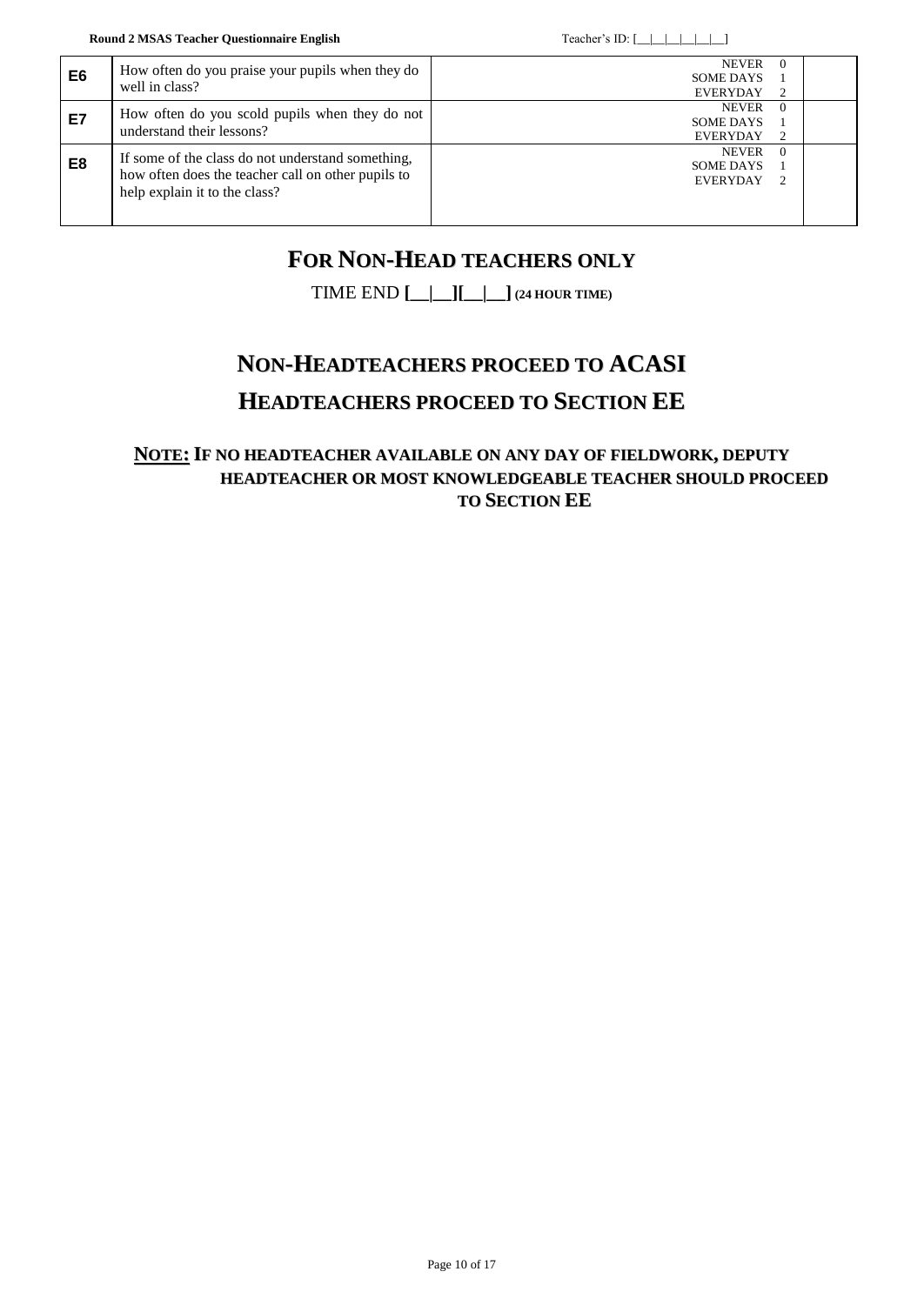| E6 | How often do you praise your pupils when they do<br>well in class?                                                                       | <b>NEVER</b><br><b>SOME DAYS</b><br><b>EVERYDAY</b> | $\Omega$<br>2 |  |
|----|------------------------------------------------------------------------------------------------------------------------------------------|-----------------------------------------------------|---------------|--|
| E7 | How often do you scold pupils when they do not<br>understand their lessons?                                                              | <b>NEVER</b><br><b>SOME DAYS</b><br><b>EVERYDAY</b> | $\Omega$<br>2 |  |
| E8 | If some of the class do not understand something,<br>how often does the teacher call on other pupils to<br>help explain it to the class? | <b>NEVER</b><br><b>SOME DAYS</b><br><b>EVERYDAY</b> | $\Omega$<br>2 |  |

# **FOR NON-HEAD TEACHERS ONLY**

TIME END **[\_\_|\_\_][\_\_|\_\_] (24 HOUR TIME)**

# **NON-HEADTEACHERS PROCEED TO ACASI HEADTEACHERS PROCEED TO SECTION EE**

### **NOTE: IF NO HEADTEACHER AVAILABLE ON ANY DAY OF FIELDWORK, DEPUTY HEADTEACHER OR MOST KNOWLEDGEABLE TEACHER SHOULD PROCEED TO SECTION EE**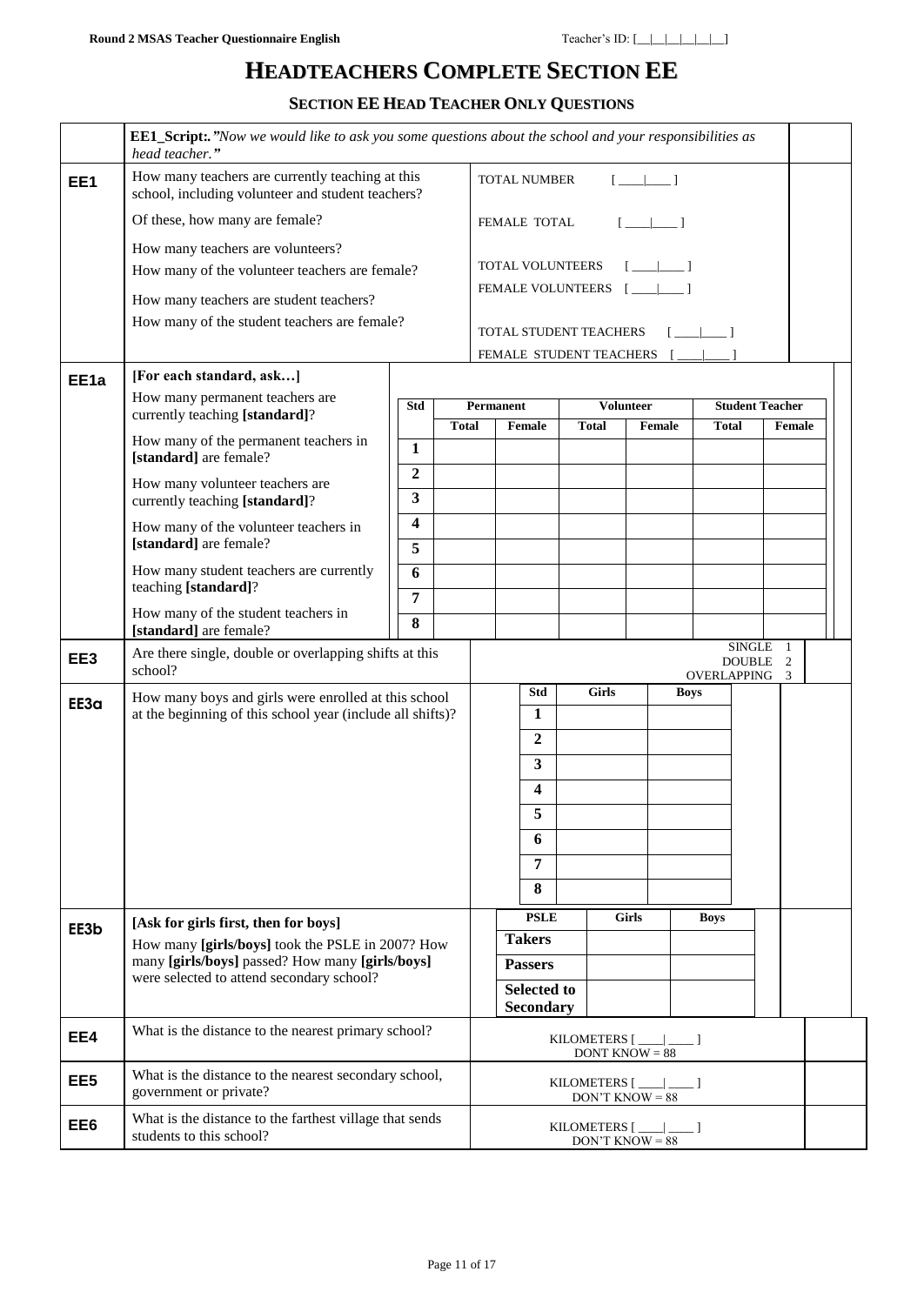# **HEADTEACHERS COMPLETE SECTION EE**

**SECTION EE HEAD TEACHER ONLY QUESTIONS**

|                  | <b>EE1_Script:</b> "Now we would like to ask you some questions about the school and your responsibilities as<br>head teacher." |                  |              |                                                   |              |                                                      |              |                           |  |
|------------------|---------------------------------------------------------------------------------------------------------------------------------|------------------|--------------|---------------------------------------------------|--------------|------------------------------------------------------|--------------|---------------------------|--|
| EE1              | How many teachers are currently teaching at this<br>school, including volunteer and student teachers?                           |                  |              | <b>TOTAL NUMBER</b><br>$\sqrt{2}$                 |              |                                                      |              |                           |  |
|                  | Of these, how many are female?                                                                                                  |                  |              | FEMALE TOTAL                                      |              | $\begin{bmatrix} 1 & 1 \end{bmatrix}$                |              |                           |  |
|                  | How many teachers are volunteers?                                                                                               |                  |              |                                                   |              |                                                      |              |                           |  |
|                  | How many of the volunteer teachers are female?                                                                                  |                  |              | <b>TOTAL VOLUNTEERS</b>                           |              | <u>[ __   __  </u>                                   |              |                           |  |
|                  | How many teachers are student teachers?                                                                                         |                  |              | FEMALE VOLUNTEERS                                 |              | $\Box$                                               |              |                           |  |
|                  | How many of the student teachers are female?                                                                                    |                  |              |                                                   |              |                                                      |              |                           |  |
|                  |                                                                                                                                 |                  |              | TOTAL STUDENT TEACHERS<br>FEMALE STUDENT TEACHERS |              |                                                      |              |                           |  |
| EE <sub>1a</sub> | [For each standard, ask]                                                                                                        |                  |              |                                                   |              |                                                      |              |                           |  |
|                  | How many permanent teachers are                                                                                                 | Std              |              | <b>Permanent</b>                                  |              | <b>Volunteer</b>                                     |              | <b>Student Teacher</b>    |  |
|                  | currently teaching [standard]?                                                                                                  |                  | <b>Total</b> | Female                                            | <b>Total</b> | Female                                               | <b>Total</b> | Female                    |  |
|                  | How many of the permanent teachers in<br>[standard] are female?                                                                 | $\mathbf{1}$     |              |                                                   |              |                                                      |              |                           |  |
|                  | How many volunteer teachers are                                                                                                 | $\boldsymbol{2}$ |              |                                                   |              |                                                      |              |                           |  |
|                  | currently teaching [standard]?                                                                                                  | 3                |              |                                                   |              |                                                      |              |                           |  |
|                  | How many of the volunteer teachers in                                                                                           | 4                |              |                                                   |              |                                                      |              |                           |  |
|                  | [standard] are female?                                                                                                          | 5                |              |                                                   |              |                                                      |              |                           |  |
|                  | How many student teachers are currently<br>teaching [standard]?                                                                 | 6                |              |                                                   |              |                                                      |              |                           |  |
|                  | How many of the student teachers in                                                                                             | $\overline{7}$   |              |                                                   |              |                                                      |              |                           |  |
|                  | [standard] are female?                                                                                                          | 8                |              |                                                   |              |                                                      |              |                           |  |
| EE3              | Are there single, double or overlapping shifts at this<br>school?                                                               |                  |              |                                                   |              |                                                      | OVERLAPPING  | SINGLE 1<br>DOUBLE 2<br>3 |  |
| EE3a             | How many boys and girls were enrolled at this school                                                                            |                  |              | Std                                               | <b>Girls</b> |                                                      | <b>Boys</b>  |                           |  |
|                  | at the beginning of this school year (include all shifts)?                                                                      |                  |              | 1                                                 |              |                                                      |              |                           |  |
|                  |                                                                                                                                 |                  |              | $\overline{2}$                                    |              |                                                      |              |                           |  |
|                  |                                                                                                                                 |                  |              | $\mathbf{3}$                                      |              |                                                      |              |                           |  |
|                  |                                                                                                                                 |                  |              | 4                                                 |              |                                                      |              |                           |  |
|                  |                                                                                                                                 |                  |              | 5                                                 |              |                                                      |              |                           |  |
|                  |                                                                                                                                 |                  |              | 6                                                 |              |                                                      |              |                           |  |
|                  |                                                                                                                                 |                  |              | $\overline{7}$                                    |              |                                                      |              |                           |  |
|                  |                                                                                                                                 |                  |              | 8                                                 |              |                                                      |              |                           |  |
| EE3b             | [Ask for girls first, then for boys]                                                                                            |                  |              | <b>PSLE</b><br><b>Takers</b>                      |              | <b>Girls</b>                                         | <b>Boys</b>  |                           |  |
|                  | How many [girls/boys] took the PSLE in 2007? How<br>many [girls/boys] passed? How many [girls/boys]                             |                  |              | <b>Passers</b>                                    |              |                                                      |              |                           |  |
|                  | were selected to attend secondary school?                                                                                       |                  |              | <b>Selected to</b>                                |              |                                                      |              |                           |  |
|                  |                                                                                                                                 |                  |              | <b>Secondary</b>                                  |              |                                                      |              |                           |  |
| EE4              | What is the distance to the nearest primary school?                                                                             |                  |              |                                                   |              | KILOMETERS [___ ___]<br>DONT KNOW $= 88$             |              |                           |  |
| EE <sub>5</sub>  | What is the distance to the nearest secondary school,<br>government or private?                                                 |                  |              |                                                   |              | KILOMETERS $[\_\_\_\_\_\_\_\_\$<br>$DON'T$ KNOW = 88 |              |                           |  |
| EE6              | What is the distance to the farthest village that sends<br>students to this school?                                             |                  |              |                                                   |              | KILOMETERS $[\_\_\_\_\_\_\_\_\$<br>$DON'T$ KNOW = 88 |              |                           |  |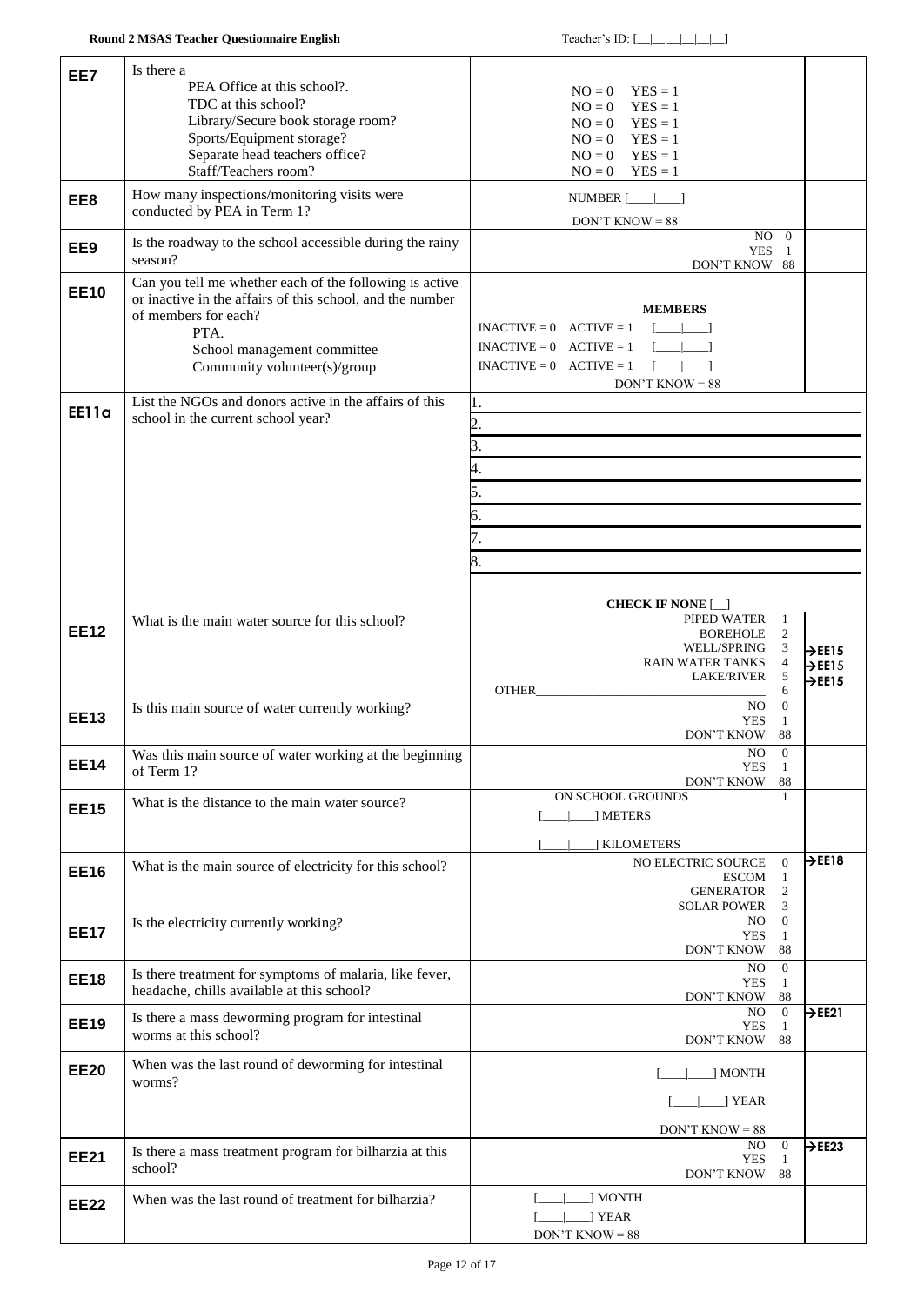| EE7          | Is there a                                                                                            |                                                                       |                            |
|--------------|-------------------------------------------------------------------------------------------------------|-----------------------------------------------------------------------|----------------------------|
|              | PEA Office at this school?.                                                                           | $NO = 0$<br>$YES = 1$                                                 |                            |
|              | TDC at this school?<br>Library/Secure book storage room?                                              | $YES = 1$<br>$NO = 0$                                                 |                            |
|              | Sports/Equipment storage?                                                                             | $YES = 1$<br>$NO = 0$<br>$NO = 0$ $YES = 1$                           |                            |
|              | Separate head teachers office?                                                                        | $YES = 1$<br>$NO = 0$                                                 |                            |
|              | Staff/Teachers room?                                                                                  | $YES = 1$<br>$NO = 0$                                                 |                            |
| EE8          | How many inspections/monitoring visits were                                                           | NUMBER $[\_\_\_\_\_\_\$ ]                                             |                            |
|              | conducted by PEA in Term 1?                                                                           | $DON'T$ KNOW = 88                                                     |                            |
| EE9          | Is the roadway to the school accessible during the rainy                                              | $NO$ 0<br><b>YES</b><br>-1                                            |                            |
|              | season?                                                                                               | DON'T KNOW 88                                                         |                            |
| <b>EE10</b>  | Can you tell me whether each of the following is active                                               |                                                                       |                            |
|              | or inactive in the affairs of this school, and the number<br>of members for each?                     | <b>MEMBERS</b>                                                        |                            |
|              | PTA.                                                                                                  | $INACTIVE = 0$ $ACTIVE = 1$                                           |                            |
|              | School management committee                                                                           | $\mathbf{I} = \mathbf{I} + \mathbf{I}$<br>$INACTIVE = 0$ $ACTIVE = 1$ |                            |
|              | Community volunteer(s)/group                                                                          | $1 - 1 - 1$<br>$INACTIVE = 0$ $ACTIVE = 1$<br>$DON'T$ KNOW = 88       |                            |
|              | List the NGOs and donors active in the affairs of this                                                | ı.                                                                    |                            |
| <b>EE11a</b> | school in the current school year?                                                                    | 2.                                                                    |                            |
|              |                                                                                                       | 3.                                                                    |                            |
|              |                                                                                                       | 4.                                                                    |                            |
|              |                                                                                                       | 5.                                                                    |                            |
|              |                                                                                                       | 6.                                                                    |                            |
|              |                                                                                                       | 7.                                                                    |                            |
|              |                                                                                                       |                                                                       |                            |
|              |                                                                                                       | 8.                                                                    |                            |
|              |                                                                                                       | <b>CHECK IF NONE</b> [                                                |                            |
|              | What is the main water source for this school?                                                        | PIPED WATER<br>1                                                      |                            |
| <b>EE12</b>  |                                                                                                       | 2<br><b>BOREHOLE</b><br>WELL/SPRING<br>3                              | $\rightarrow$ EE15         |
|              |                                                                                                       | $\overline{4}$<br><b>RAIN WATER TANKS</b>                             | $\rightarrow$ EE15         |
|              |                                                                                                       | 5<br><b>LAKE/RIVER</b><br>OTHER<br>6                                  | $\rightarrow$ EE15         |
| <b>EE13</b>  | Is this main source of water currently working?                                                       | $\Omega$<br>NO.                                                       |                            |
|              |                                                                                                       | <b>YES</b><br>1<br>DON'T KNOW<br>- 88                                 |                            |
| <b>EE14</b>  | Was this main source of water working at the beginning                                                | NO<br>$\boldsymbol{0}$                                                |                            |
|              | of Term 1?                                                                                            | YES<br>-1<br>88<br>DON'T KNOW                                         |                            |
| <b>EE15</b>  | What is the distance to the main water source?                                                        | ON SCHOOL GROUNDS<br>1                                                |                            |
|              |                                                                                                       | 1 METERS                                                              |                            |
|              |                                                                                                       | <b>KILOMETERS</b>                                                     |                            |
| <b>EE16</b>  | What is the main source of electricity for this school?                                               | NO ELECTRIC SOURCE<br>$\mathbf{0}$<br><b>ESCOM</b><br>1               | $\rightarrow$ EE18         |
|              |                                                                                                       | <b>GENERATOR</b><br>2                                                 |                            |
|              | Is the electricity currently working?                                                                 | <b>SOLAR POWER</b><br>3<br>$\overline{0}$<br>NO.                      |                            |
| <b>EE17</b>  |                                                                                                       | <b>YES</b><br>1                                                       |                            |
|              |                                                                                                       | DON'T KNOW<br>88<br>NO.<br>$\overline{0}$                             |                            |
| <b>EE18</b>  | Is there treatment for symptoms of malaria, like fever,<br>headache, chills available at this school? | <b>YES</b><br>1                                                       |                            |
|              |                                                                                                       | DON'T KNOW<br>88<br>$\overline{0}$<br>NO.                             | $\overline{\mathsf{PE21}}$ |
| <b>EE19</b>  | Is there a mass deworming program for intestinal<br>worms at this school?                             | <b>YES</b><br>1<br><b>DON'T KNOW</b><br>88                            |                            |
| <b>EE20</b>  | When was the last round of deworming for intestinal                                                   |                                                                       |                            |
|              | worms?                                                                                                | ] MONTH                                                               |                            |
|              |                                                                                                       | ] YEAR                                                                |                            |
|              |                                                                                                       |                                                                       |                            |
|              |                                                                                                       | $DON'T$ KNOW = 88                                                     |                            |
|              | Is there a mass treatment program for bilharzia at this                                               | NO.<br>$\overline{0}$                                                 | $\rightarrow$ EE23         |
| <b>EE21</b>  | school?                                                                                               | <b>YES</b><br>$\mathbf{1}$<br>DON'T KNOW 88                           |                            |
|              | When was the last round of treatment for bilharzia?                                                   | ] MONTH                                                               |                            |
| <b>EE22</b>  |                                                                                                       | ] YEAR<br>$DON'T$ KNOW = 88                                           |                            |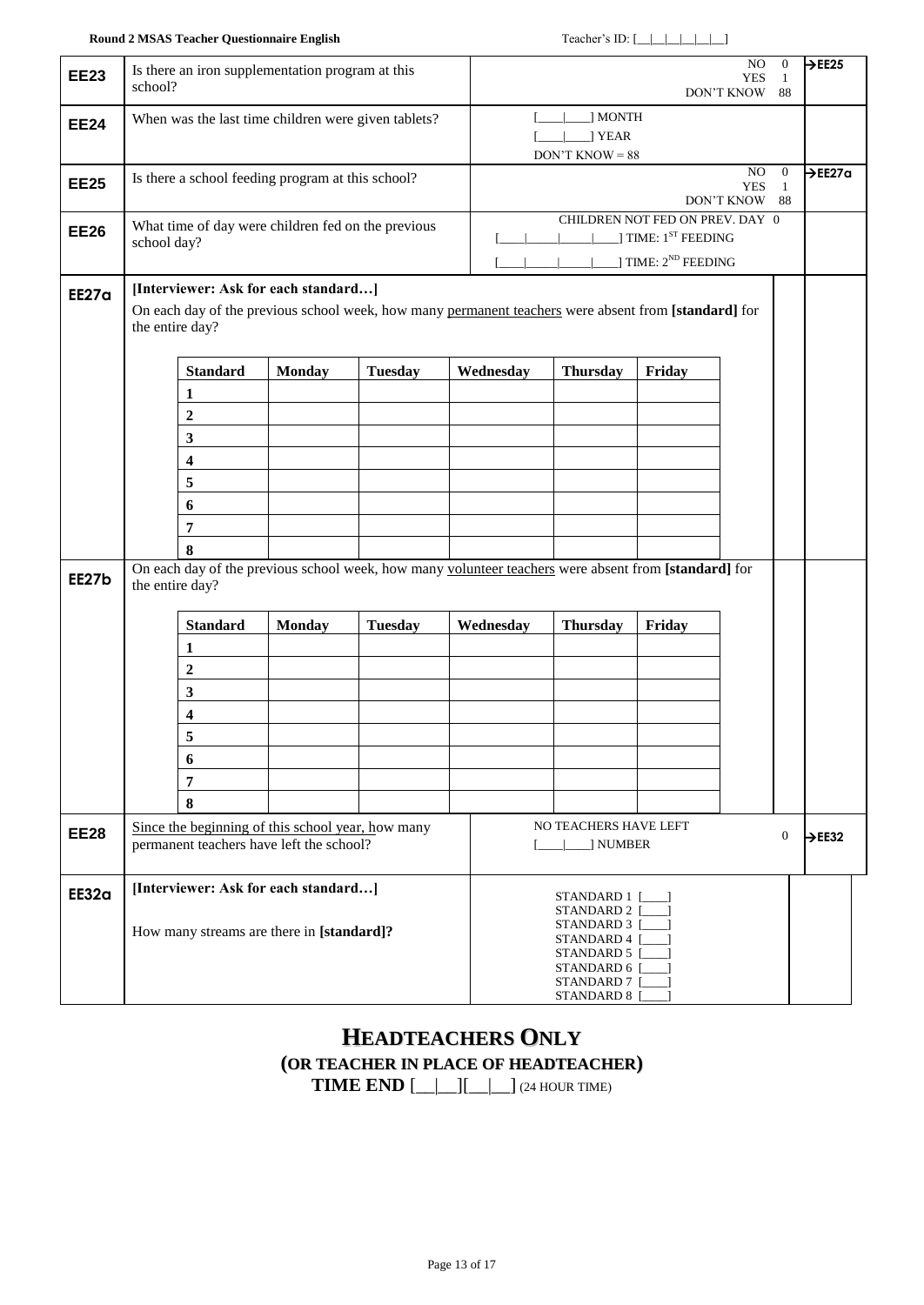| <b>EE23</b>  | school?         |                         | Is there an iron supplementation program at this                                              |                                                     |                                                                                                      |                                                                                              |                                                                   | NO.<br><b>YES</b><br>DON'T KNOW 88 | $\overline{0}$<br>1            | $\rightarrow$ EE25  |
|--------------|-----------------|-------------------------|-----------------------------------------------------------------------------------------------|-----------------------------------------------------|------------------------------------------------------------------------------------------------------|----------------------------------------------------------------------------------------------|-------------------------------------------------------------------|------------------------------------|--------------------------------|---------------------|
| <b>EE24</b>  |                 |                         |                                                                                               | When was the last time children were given tablets? |                                                                                                      | J MONTH<br>] YEAR<br>$DON'T$ KNOW = 88                                                       |                                                                   |                                    |                                |                     |
| <b>EE25</b>  |                 |                         | Is there a school feeding program at this school?                                             |                                                     |                                                                                                      |                                                                                              |                                                                   | NO.<br><b>YES</b><br>DON'T KNOW 88 | $\overline{0}$<br>$\mathbf{1}$ | $\rightarrow$ EE27a |
| <b>EE26</b>  | school day?     |                         |                                                                                               | What time of day were children fed on the previous  |                                                                                                      | CHILDREN NOT FED ON PREV. DAY 0<br>$\sim$ 1.000                                              | ] TIME: 1 <sup>ST</sup> FEEDING<br>$\vert$ TIME: $2^{ND}$ FEEDING |                                    |                                |                     |
| <b>EE27a</b> | the entire day? |                         | [Interviewer: Ask for each standard]                                                          |                                                     | On each day of the previous school week, how many permanent teachers were absent from [standard] for |                                                                                              |                                                                   |                                    |                                |                     |
|              |                 | <b>Standard</b>         | <b>Monday</b>                                                                                 | <b>Tuesday</b>                                      | Wednesday                                                                                            | <b>Thursday</b>                                                                              | Friday                                                            |                                    |                                |                     |
|              |                 | 1                       |                                                                                               |                                                     |                                                                                                      |                                                                                              |                                                                   |                                    |                                |                     |
|              |                 | $\boldsymbol{2}$        |                                                                                               |                                                     |                                                                                                      |                                                                                              |                                                                   |                                    |                                |                     |
|              |                 | $\mathbf{3}$            |                                                                                               |                                                     |                                                                                                      |                                                                                              |                                                                   |                                    |                                |                     |
|              |                 | $\overline{\mathbf{4}}$ |                                                                                               |                                                     |                                                                                                      |                                                                                              |                                                                   |                                    |                                |                     |
|              |                 | 5                       |                                                                                               |                                                     |                                                                                                      |                                                                                              |                                                                   |                                    |                                |                     |
|              |                 | 6                       |                                                                                               |                                                     |                                                                                                      |                                                                                              |                                                                   |                                    |                                |                     |
|              |                 | 7                       |                                                                                               |                                                     |                                                                                                      |                                                                                              |                                                                   |                                    |                                |                     |
|              |                 | 8                       |                                                                                               |                                                     |                                                                                                      |                                                                                              |                                                                   |                                    |                                |                     |
| EE27b        | the entire day? |                         |                                                                                               |                                                     | On each day of the previous school week, how many volunteer teachers were absent from [standard] for |                                                                                              |                                                                   |                                    |                                |                     |
|              |                 | <b>Standard</b>         | <b>Monday</b>                                                                                 | <b>Tuesday</b>                                      | Wednesday                                                                                            | <b>Thursday</b>                                                                              | Friday                                                            |                                    |                                |                     |
|              |                 | 1                       |                                                                                               |                                                     |                                                                                                      |                                                                                              |                                                                   |                                    |                                |                     |
|              |                 | $\boldsymbol{2}$        |                                                                                               |                                                     |                                                                                                      |                                                                                              |                                                                   |                                    |                                |                     |
|              |                 | $\mathbf{3}$            |                                                                                               |                                                     |                                                                                                      |                                                                                              |                                                                   |                                    |                                |                     |
|              |                 | $\overline{\mathbf{4}}$ |                                                                                               |                                                     |                                                                                                      |                                                                                              |                                                                   |                                    |                                |                     |
|              |                 | 5                       |                                                                                               |                                                     |                                                                                                      |                                                                                              |                                                                   |                                    |                                |                     |
|              |                 | 6                       |                                                                                               |                                                     |                                                                                                      |                                                                                              |                                                                   |                                    |                                |                     |
|              |                 | $\overline{7}$          |                                                                                               |                                                     |                                                                                                      |                                                                                              |                                                                   |                                    |                                |                     |
|              |                 | 8                       |                                                                                               |                                                     |                                                                                                      |                                                                                              |                                                                   |                                    |                                |                     |
| <b>EE28</b>  |                 |                         | Since the beginning of this school year, how many<br>permanent teachers have left the school? |                                                     |                                                                                                      | NO TEACHERS HAVE LEFT<br>  NUMBER                                                            |                                                                   |                                    | $\mathbf{0}$                   | $\rightarrow$ EE32  |
| EE32a        |                 |                         | [Interviewer: Ask for each standard]                                                          |                                                     |                                                                                                      | STANDARD 1<br>STANDARD 2 [                                                                   |                                                                   |                                    |                                |                     |
|              |                 |                         | How many streams are there in [standard]?                                                     |                                                     |                                                                                                      | STANDARD 3 [<br>STANDARD 4 [<br>STANDARD 5 [<br>STANDARD 6 [<br>STANDARD 7 [<br>STANDARD 8 [ |                                                                   |                                    |                                |                     |

# **HEADTEACHERS ONLY (OR TEACHER IN PLACE OF HEADTEACHER)**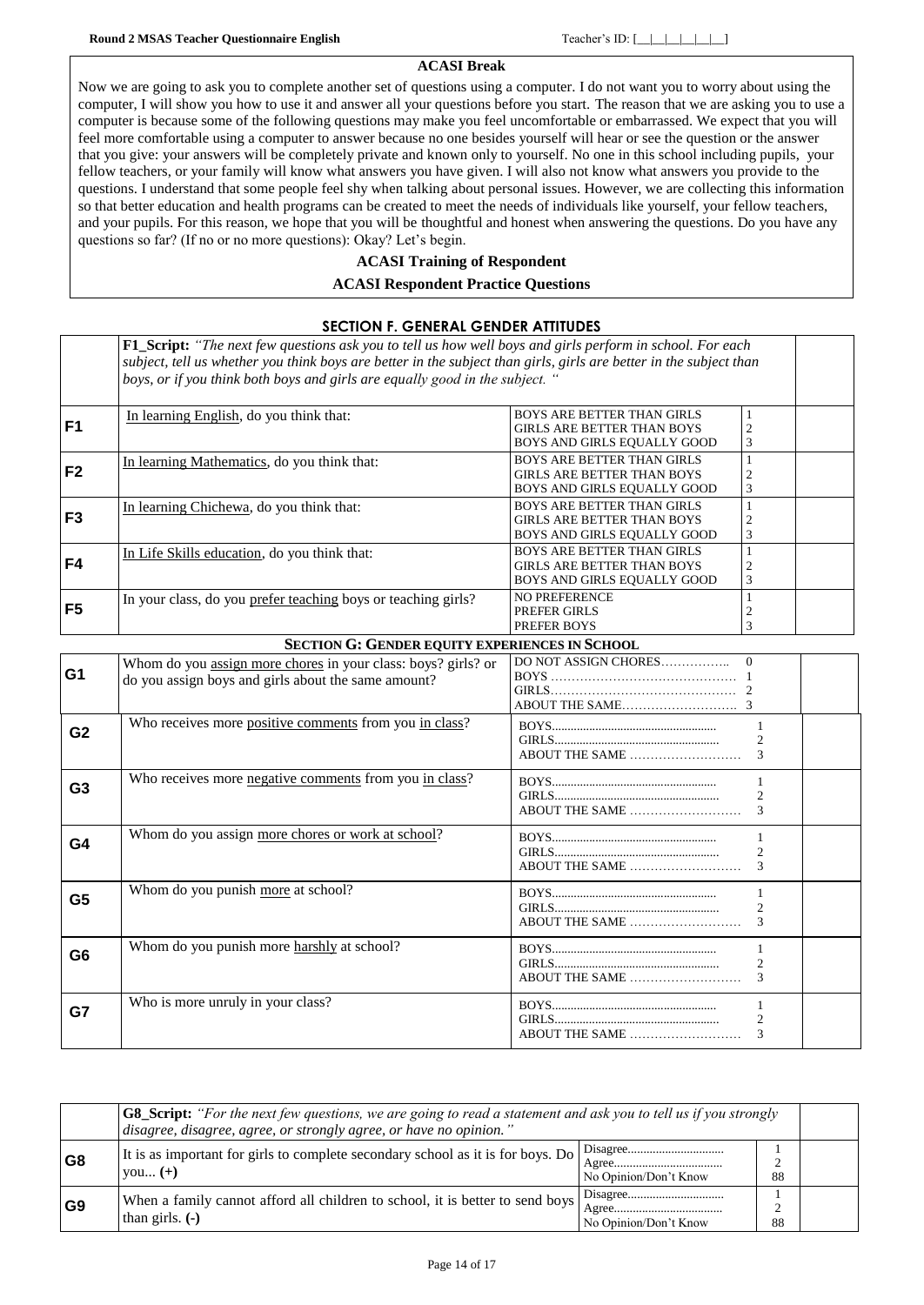### **ACASI Break**

Now we are going to ask you to complete another set of questions using a computer. I do not want you to worry about using the computer, I will show you how to use it and answer all your questions before you start. The reason that we are asking you to use a computer is because some of the following questions may make you feel uncomfortable or embarrassed. We expect that you will feel more comfortable using a computer to answer because no one besides yourself will hear or see the question or the answer that you give: your answers will be completely private and known only to yourself. No one in this school including pupils, your fellow teachers, or your family will know what answers you have given. I will also not know what answers you provide to the questions. I understand that some people feel shy when talking about personal issues. However, we are collecting this information so that better education and health programs can be created to meet the needs of individuals like yourself, your fellow teachers, and your pupils. For this reason, we hope that you will be thoughtful and honest when answering the questions. Do you have any questions so far? (If no or no more questions): Okay? Let's begin.

### **ACASI Training of Respondent**

### **ACASI Respondent Practice Questions**

|                | <b>SECTION F. GENERAL GENDER ATTITUDES</b>                                                                                                                                                                                                                                                                             |                                                                                                       |  |  |  |  |  |  |
|----------------|------------------------------------------------------------------------------------------------------------------------------------------------------------------------------------------------------------------------------------------------------------------------------------------------------------------------|-------------------------------------------------------------------------------------------------------|--|--|--|--|--|--|
|                | <b>F1_Script:</b> "The next few questions ask you to tell us how well boys and girls perform in school. For each<br>subject, tell us whether you think boys are better in the subject than girls, girls are better in the subject than<br>boys, or if you think both boys and girls are equally good in the subject. " |                                                                                                       |  |  |  |  |  |  |
| F <sub>1</sub> | In learning English, do you think that:                                                                                                                                                                                                                                                                                | <b>BOYS ARE BETTER THAN GIRLS</b><br>GIRLS ARE BETTER THAN BOYS<br>BOYS AND GIRLS EQUALLY GOOD        |  |  |  |  |  |  |
| F <sub>2</sub> | In learning Mathematics, do you think that:                                                                                                                                                                                                                                                                            | <b>BOYS ARE BETTER THAN GIRLS</b><br><b>GIRLS ARE BETTER THAN BOYS</b><br>BOYS AND GIRLS EQUALLY GOOD |  |  |  |  |  |  |
| F <sub>3</sub> | In learning Chichewa, do you think that:                                                                                                                                                                                                                                                                               | <b>BOYS ARE BETTER THAN GIRLS</b><br><b>GIRLS ARE BETTER THAN BOYS</b><br>BOYS AND GIRLS EQUALLY GOOD |  |  |  |  |  |  |
| F4             | In Life Skills education, do you think that:                                                                                                                                                                                                                                                                           | <b>BOYS ARE BETTER THAN GIRLS</b><br><b>GIRLS ARE BETTER THAN BOYS</b><br>BOYS AND GIRLS EQUALLY GOOD |  |  |  |  |  |  |
| F5             | In your class, do you prefer teaching boys or teaching girls?                                                                                                                                                                                                                                                          | <b>NO PREFERENCE</b><br>PREFER GIRLS<br>PREFER BOYS                                                   |  |  |  |  |  |  |

### **SECTION G: GENDER EQUITY EXPERIENCES IN SCHOOL**

| G <sub>1</sub> | Whom do you assign more chores in your class: boys? girls? or<br>do you assign boys and girls about the same amount? |                                               |
|----------------|----------------------------------------------------------------------------------------------------------------------|-----------------------------------------------|
| G <sub>2</sub> | Who receives more positive comments from you in class?                                                               | ABOUT THE SAME                                |
| G <sub>3</sub> | Who receives more negative comments from you in class?                                                               | $\mathcal{D}_{\mathcal{A}}$                   |
| G4             | Whom do you assign more chores or work at school?                                                                    | 2                                             |
| G <sub>5</sub> | Whom do you punish more at school?                                                                                   | $\mathcal{D}_{\mathcal{L}}$<br>ABOUT THE SAME |
| G <sub>6</sub> | Whom do you punish more harshly at school?                                                                           |                                               |
| G7             | Who is more unruly in your class?                                                                                    | ABOUT THE SAME                                |

|                | <b>G8_Script:</b> "For the next few questions, we are going to read a statement and ask you to tell us if you strongly<br>disagree, disagree, agree, or strongly agree, or have no opinion." |                                                                                         |         |  |  |
|----------------|----------------------------------------------------------------------------------------------------------------------------------------------------------------------------------------------|-----------------------------------------------------------------------------------------|---------|--|--|
| G8             | It is as important for girls to complete secondary school as it is for boys. Do<br>$\forall$ ou $(+)$                                                                                        | No Opinion/Don't Know                                                                   | 88      |  |  |
| G <sub>9</sub> | When a family cannot afford all children to school, it is better to send boys<br>than girls. $(-)$                                                                                           | $Agreem \dots \dots \dots \dots \dots \dots \dots \dots \dots$<br>No Opinion/Don't Know | ⌒<br>88 |  |  |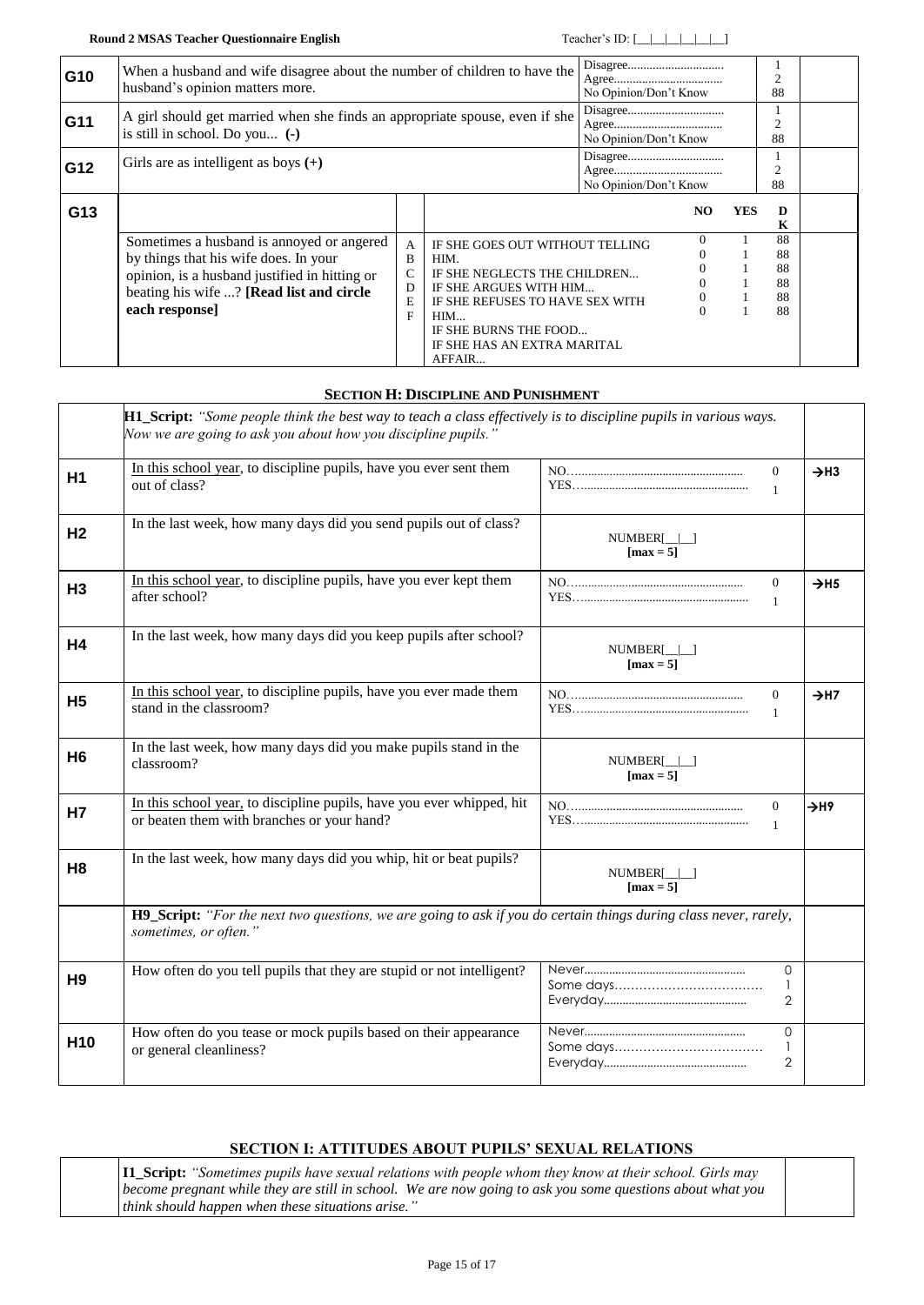| G10 | When a husband and wife disagree about the number of children to have the<br>husband's opinion matters more.                                                                                      |                                       |                                                                                                                                                                                                               |                       | No Opinion/Don't Know |     | 2<br>88                          |  |
|-----|---------------------------------------------------------------------------------------------------------------------------------------------------------------------------------------------------|---------------------------------------|---------------------------------------------------------------------------------------------------------------------------------------------------------------------------------------------------------------|-----------------------|-----------------------|-----|----------------------------------|--|
| G11 | A girl should get married when she finds an appropriate spouse, even if she<br>is still in school. Do you $(-)$                                                                                   |                                       |                                                                                                                                                                                                               | No Opinion/Don't Know |                       |     | 2<br>88                          |  |
| G12 | Girls are as intelligent as boys $(+)$                                                                                                                                                            |                                       |                                                                                                                                                                                                               | No Opinion/Don't Know |                       |     | $\overline{c}$<br>88             |  |
| G13 |                                                                                                                                                                                                   |                                       |                                                                                                                                                                                                               |                       | NO.                   | YES | D<br>K                           |  |
|     | Sometimes a husband is annoyed or angered<br>by things that his wife does. In your<br>opinion, is a husband justified in hitting or<br>beating his wife ? [Read list and circle<br>each response] | $\mathbf{A}$<br>B<br>C<br>D<br>E<br>F | IF SHE GOES OUT WITHOUT TELLING<br>HIM.<br>IF SHE NEGLECTS THE CHILDREN<br>IF SHE ARGUES WITH HIM<br>IF SHE REFUSES TO HAVE SEX WITH<br>HIM<br>IF SHE BURNS THE FOOD<br>IF SHE HAS AN EXTRA MARITAL<br>AFFAIR |                       | 0<br>$\Omega$         |     | 88<br>88<br>88<br>88<br>88<br>88 |  |

### **SECTION H: DISCIPLINE AND PUNISHMENT**

<span id="page-14-1"></span><span id="page-14-0"></span>

|                 | <b>H1_Script:</b> "Some people think the best way to teach a class effectively is to discipline pupils in various ways.<br>Now we are going to ask you about how you discipline pupils.' |                                             |                              |
|-----------------|------------------------------------------------------------------------------------------------------------------------------------------------------------------------------------------|---------------------------------------------|------------------------------|
| H <sub>1</sub>  | In this school year, to discipline pupils, have you ever sent them<br>out of class?                                                                                                      | $\Omega$<br>$\mathbf{1}$                    | $\rightarrow$ H3             |
| H <sub>2</sub>  | In the last week, how many days did you send pupils out of class?                                                                                                                        | $NUMBER[\_]\_]$<br>$\lceil \max = 5 \rceil$ |                              |
| H <sub>3</sub>  | In this school year, to discipline pupils, have you ever kept them<br>after school?                                                                                                      | $\mathbf{0}$<br>$\mathbf{1}$                | $\rightarrow$ H <sub>5</sub> |
| <b>H4</b>       | In the last week, how many days did you keep pupils after school?                                                                                                                        | $NUMBER[\_]\_$<br>$\lceil \max = 5 \rceil$  |                              |
| <b>H5</b>       | In this school year, to discipline pupils, have you ever made them<br>stand in the classroom?                                                                                            | $\theta$<br>$\mathbf{1}$                    | $\rightarrow$ H7             |
| H <sub>6</sub>  | In the last week, how many days did you make pupils stand in the<br>classroom?                                                                                                           | $NUMBER[\_]\_$<br>$\lceil \max = 5 \rceil$  |                              |
| Н7              | In this school year, to discipline pupils, have you ever whipped, hit<br>or beaten them with branches or your hand?                                                                      | $\overline{0}$<br>$\mathbf{1}$              | $\rightarrow$ H9             |
| H <sub>8</sub>  | In the last week, how many days did you whip, hit or beat pupils?                                                                                                                        | NUMBER[    <br>$\lceil \max = 5 \rceil$     |                              |
|                 | H9_Script: "For the next two questions, we are going to ask if you do certain things during class never, rarely,<br>sometimes, or often."                                                |                                             |                              |
| H <sub>9</sub>  | How often do you tell pupils that they are stupid or not intelligent?                                                                                                                    | $\Omega$<br>2                               |                              |
| H <sub>10</sub> | How often do you tease or mock pupils based on their appearance<br>or general cleanliness?                                                                                               | $\Omega$<br>$\mathbf{1}$<br>$\overline{2}$  |                              |

### **SECTION I: ATTITUDES ABOUT PUPILS' SEXUAL RELATIONS**

<span id="page-14-2"></span>

| <b>II_Script:</b> "Sometimes pupils have sexual relations with people whom they know at their school. Girls may |  |
|-----------------------------------------------------------------------------------------------------------------|--|
| become pregnant while they are still in school. We are now going to ask you some questions about what you       |  |
| $\vert$ think should happen when these situations arise."                                                       |  |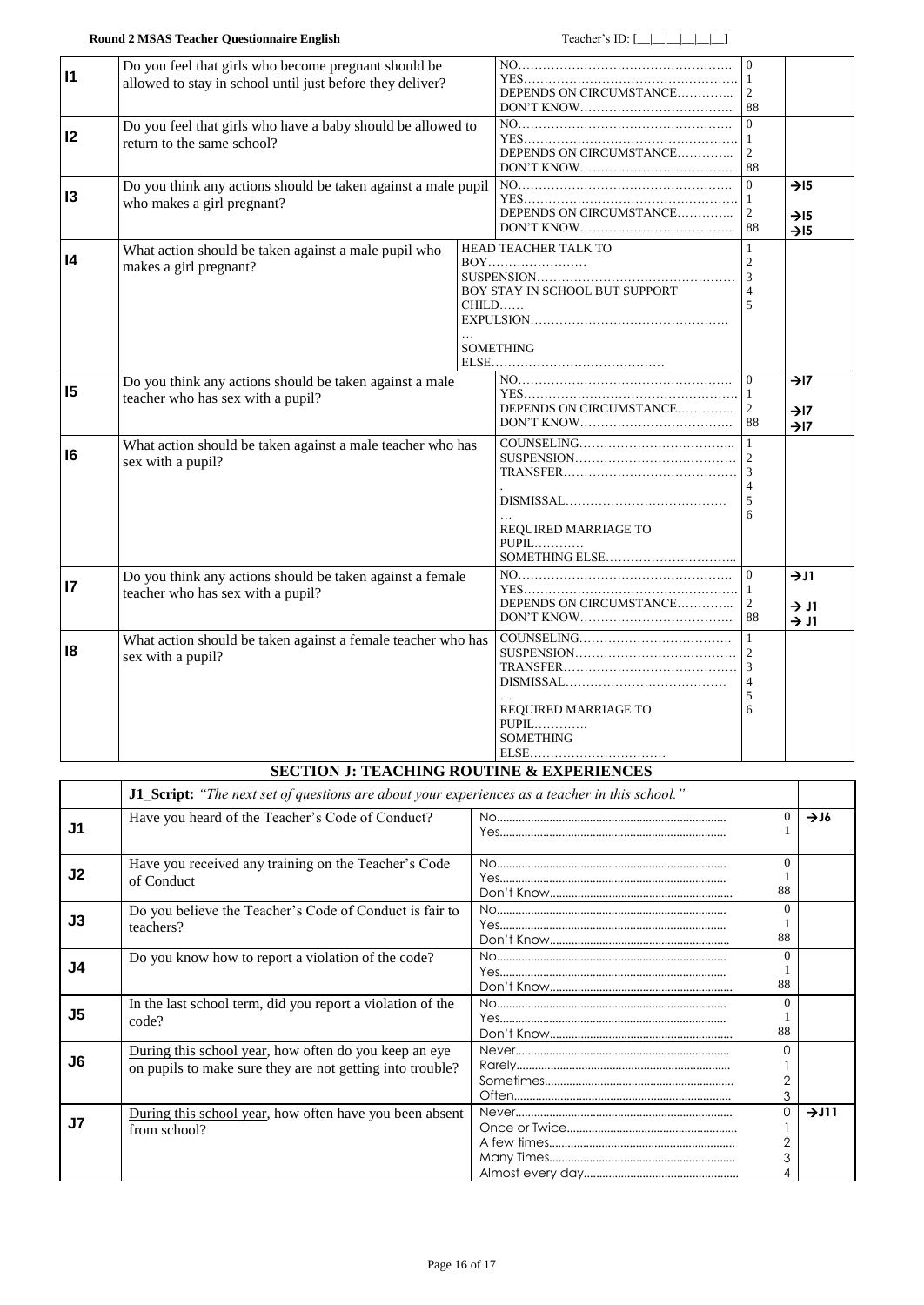<span id="page-15-0"></span>

| $\mathsf{I}$    | Do you feel that girls who become pregnant should be<br>allowed to stay in school until just before they deliver? | DEPENDS ON CIRCUMSTANCE | $\Omega$<br>88                                                                        |                                                                    |                                                          |
|-----------------|-------------------------------------------------------------------------------------------------------------------|-------------------------|---------------------------------------------------------------------------------------|--------------------------------------------------------------------|----------------------------------------------------------|
| 12              | Do you feel that girls who have a baby should be allowed to<br>return to the same school?                         |                         | DEPENDS ON CIRCUMSTANCE                                                               | $\overline{1}$<br>88                                               |                                                          |
| 13              | Do you think any actions should be taken against a male pupil<br>who makes a girl pregnant?                       |                         | DEPENDS ON CIRCUMSTANCE                                                               | $\Omega$<br>  1<br>$\overline{2}$<br>88                            | $\rightarrow$ 15<br>$\rightarrow$ I5<br>$\rightarrow$ 15 |
| 4               | What action should be taken against a male pupil who<br>makes a girl pregnant?                                    |                         | HEAD TEACHER TALK TO<br>BOY STAY IN SCHOOL BUT SUPPORT<br>$CHILD$<br><b>SOMETHING</b> | $\mathbf{1}$<br>$\mathcal{D}_{\mathcal{L}}$<br>$\overline{3}$<br>5 |                                                          |
| 15              | Do you think any actions should be taken against a male<br>teacher who has sex with a pupil?                      |                         | DEPENDS ON CIRCUMSTANCE                                                               | $\Omega$<br>$\vert$ 1<br>2<br>88                                   | $\rightarrow$ I7<br>$\rightarrow$ I7<br>$\rightarrow$ I7 |
| 16              | What action should be taken against a male teacher who has<br>sex with a pupil?                                   |                         | REQUIRED MARRIAGE TO<br>$PUPIL$                                                       | 5                                                                  |                                                          |
| $\overline{17}$ | Do you think any actions should be taken against a female<br>teacher who has sex with a pupil?                    |                         | DEPENDS ON CIRCUMSTANCE                                                               | $\Omega$<br>$\mathbf{1}$<br>2<br>-88                               | $\rightarrow$ J1<br>$\rightarrow$ J1<br>$\rightarrow$ J1 |
| 18              | What action should be taken against a female teacher who has<br>sex with a pupil?                                 |                         |                                                                                       | 5<br>6                                                             |                                                          |

### **SECTION J: TEACHING ROUTINE & EXPERIENCES**

<span id="page-15-2"></span><span id="page-15-1"></span>

|                | J1_Script: "The next set of questions are about your experiences as a teacher in this school."                     |  |                          |      |
|----------------|--------------------------------------------------------------------------------------------------------------------|--|--------------------------|------|
| J1             | Have you heard of the Teacher's Code of Conduct?                                                                   |  | $\Omega$                 | 716  |
| J <sub>2</sub> | Have you received any training on the Teacher's Code<br>of Conduct                                                 |  | $\Omega$<br>88           |      |
| J3             | Do you believe the Teacher's Code of Conduct is fair to<br>teachers?                                               |  | $\Omega$<br>88           |      |
| J4             | Do you know how to report a violation of the code?                                                                 |  | $\Omega$<br>88           |      |
| J <sub>5</sub> | In the last school term, did you report a violation of the<br>code?                                                |  | $\Omega$<br>88           |      |
| J6             | During this school year, how often do you keep an eye<br>on pupils to make sure they are not getting into trouble? |  | O<br>$\overline{2}$<br>3 |      |
| J <sub>7</sub> | During this school year, how often have you been absent<br>from school?                                            |  | 0<br>$\overline{2}$<br>3 | 7J11 |